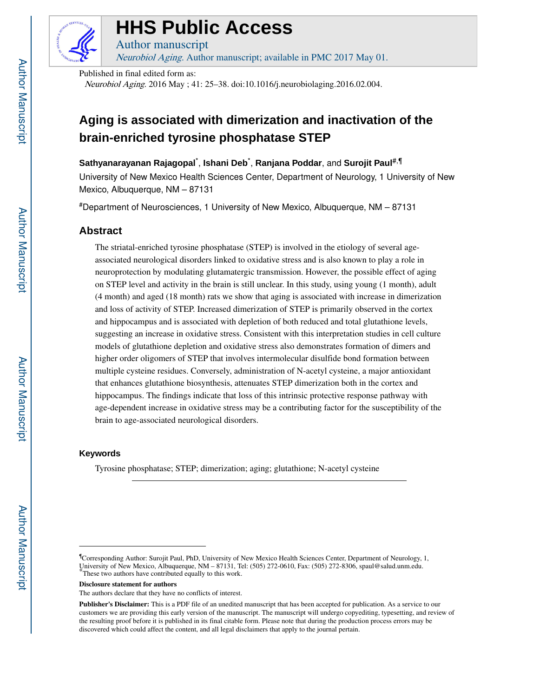

# **HHS Public Access**

Author manuscript Neurobiol Aging. Author manuscript; available in PMC 2017 May 01.

Published in final edited form as:

Neurobiol Aging. 2016 May ; 41: 25–38. doi:10.1016/j.neurobiolaging.2016.02.004.

## **Aging is associated with dimerization and inactivation of the brain-enriched tyrosine phosphatase STEP**

**Sathyanarayanan Rajagopal**\* , **Ishani Deb**\* , **Ranjana Poddar**, and **Surojit Paul**#,¶

University of New Mexico Health Sciences Center, Department of Neurology, 1 University of New Mexico, Albuquerque, NM – 87131

#Department of Neurosciences, 1 University of New Mexico, Albuquerque, NM – 87131

## **Abstract**

The striatal-enriched tyrosine phosphatase (STEP) is involved in the etiology of several ageassociated neurological disorders linked to oxidative stress and is also known to play a role in neuroprotection by modulating glutamatergic transmission. However, the possible effect of aging on STEP level and activity in the brain is still unclear. In this study, using young (1 month), adult (4 month) and aged (18 month) rats we show that aging is associated with increase in dimerization and loss of activity of STEP. Increased dimerization of STEP is primarily observed in the cortex and hippocampus and is associated with depletion of both reduced and total glutathione levels, suggesting an increase in oxidative stress. Consistent with this interpretation studies in cell culture models of glutathione depletion and oxidative stress also demonstrates formation of dimers and higher order oligomers of STEP that involves intermolecular disulfide bond formation between multiple cysteine residues. Conversely, administration of N-acetyl cysteine, a major antioxidant that enhances glutathione biosynthesis, attenuates STEP dimerization both in the cortex and hippocampus. The findings indicate that loss of this intrinsic protective response pathway with age-dependent increase in oxidative stress may be a contributing factor for the susceptibility of the brain to age-associated neurological disorders.

## **Keywords**

Tyrosine phosphatase; STEP; dimerization; aging; glutathione; N-acetyl cysteine

**Disclosure statement for authors**

<sup>¶</sup>Corresponding Author: Surojit Paul, PhD, University of New Mexico Health Sciences Center, Department of Neurology, 1, University of New Mexico, Albuquerque, NM – 87131, Tel: (505) 272-0610, Fax: (505) 272-8306, spaul@salud.unm.edu. \*These two authors have contributed equally to this work.

The authors declare that they have no conflicts of interest.

**Publisher's Disclaimer:** This is a PDF file of an unedited manuscript that has been accepted for publication. As a service to our customers we are providing this early version of the manuscript. The manuscript will undergo copyediting, typesetting, and review of the resulting proof before it is published in its final citable form. Please note that during the production process errors may be discovered which could affect the content, and all legal disclaimers that apply to the journal pertain.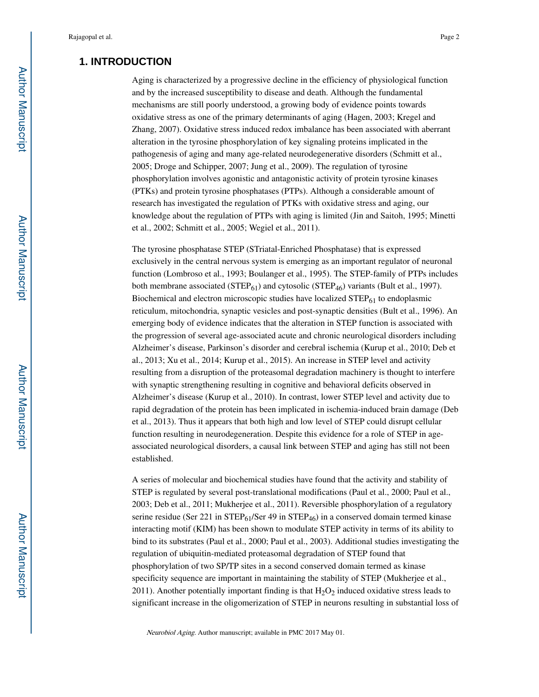## **1. INTRODUCTION**

Aging is characterized by a progressive decline in the efficiency of physiological function and by the increased susceptibility to disease and death. Although the fundamental mechanisms are still poorly understood, a growing body of evidence points towards oxidative stress as one of the primary determinants of aging (Hagen, 2003; Kregel and Zhang, 2007). Oxidative stress induced redox imbalance has been associated with aberrant alteration in the tyrosine phosphorylation of key signaling proteins implicated in the pathogenesis of aging and many age-related neurodegenerative disorders (Schmitt et al., 2005; Droge and Schipper, 2007; Jung et al., 2009). The regulation of tyrosine phosphorylation involves agonistic and antagonistic activity of protein tyrosine kinases (PTKs) and protein tyrosine phosphatases (PTPs). Although a considerable amount of research has investigated the regulation of PTKs with oxidative stress and aging, our knowledge about the regulation of PTPs with aging is limited (Jin and Saitoh, 1995; Minetti et al., 2002; Schmitt et al., 2005; Wegiel et al., 2011).

The tyrosine phosphatase STEP (STriatal-Enriched Phosphatase) that is expressed exclusively in the central nervous system is emerging as an important regulator of neuronal function (Lombroso et al., 1993; Boulanger et al., 1995). The STEP-family of PTPs includes both membrane associated (STEP $_{61}$ ) and cytosolic (STEP $_{46}$ ) variants (Bult et al., 1997). Biochemical and electron microscopic studies have localized  $\text{STEP}_{61}$  to endoplasmic reticulum, mitochondria, synaptic vesicles and post-synaptic densities (Bult et al., 1996). An emerging body of evidence indicates that the alteration in STEP function is associated with the progression of several age-associated acute and chronic neurological disorders including Alzheimer's disease, Parkinson's disorder and cerebral ischemia (Kurup et al., 2010; Deb et al., 2013; Xu et al., 2014; Kurup et al., 2015). An increase in STEP level and activity resulting from a disruption of the proteasomal degradation machinery is thought to interfere with synaptic strengthening resulting in cognitive and behavioral deficits observed in Alzheimer's disease (Kurup et al., 2010). In contrast, lower STEP level and activity due to rapid degradation of the protein has been implicated in ischemia-induced brain damage (Deb et al., 2013). Thus it appears that both high and low level of STEP could disrupt cellular function resulting in neurodegeneration. Despite this evidence for a role of STEP in ageassociated neurological disorders, a causal link between STEP and aging has still not been established.

A series of molecular and biochemical studies have found that the activity and stability of STEP is regulated by several post-translational modifications (Paul et al., 2000; Paul et al., 2003; Deb et al., 2011; Mukherjee et al., 2011). Reversible phosphorylation of a regulatory serine residue (Ser 221 in STEP $_{61}$ /Ser 49 in STEP<sub>46</sub>) in a conserved domain termed kinase interacting motif (KIM) has been shown to modulate STEP activity in terms of its ability to bind to its substrates (Paul et al., 2000; Paul et al., 2003). Additional studies investigating the regulation of ubiquitin-mediated proteasomal degradation of STEP found that phosphorylation of two SP/TP sites in a second conserved domain termed as kinase specificity sequence are important in maintaining the stability of STEP (Mukherjee et al., 2011). Another potentially important finding is that  $H_2O_2$  induced oxidative stress leads to significant increase in the oligomerization of STEP in neurons resulting in substantial loss of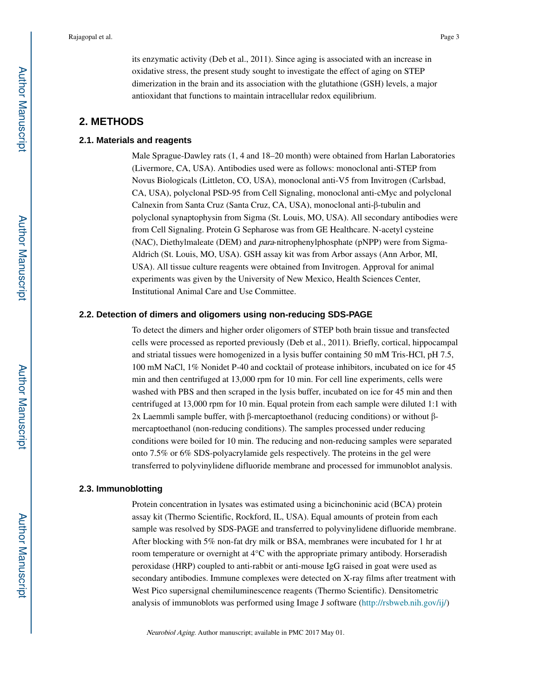its enzymatic activity (Deb et al., 2011). Since aging is associated with an increase in oxidative stress, the present study sought to investigate the effect of aging on STEP dimerization in the brain and its association with the glutathione (GSH) levels, a major antioxidant that functions to maintain intracellular redox equilibrium.

## **2. METHODS**

#### **2.1. Materials and reagents**

Male Sprague-Dawley rats (1, 4 and 18–20 month) were obtained from Harlan Laboratories (Livermore, CA, USA). Antibodies used were as follows: monoclonal anti-STEP from Novus Biologicals (Littleton, CO, USA), monoclonal anti-V5 from Invitrogen (Carlsbad, CA, USA), polyclonal PSD-95 from Cell Signaling, monoclonal anti-cMyc and polyclonal Calnexin from Santa Cruz (Santa Cruz, CA, USA), monoclonal anti-β-tubulin and polyclonal synaptophysin from Sigma (St. Louis, MO, USA). All secondary antibodies were from Cell Signaling. Protein G Sepharose was from GE Healthcare. N-acetyl cysteine (NAC), Diethylmaleate (DEM) and para-nitrophenylphosphate (pNPP) were from Sigma-Aldrich (St. Louis, MO, USA). GSH assay kit was from Arbor assays (Ann Arbor, MI, USA). All tissue culture reagents were obtained from Invitrogen. Approval for animal experiments was given by the University of New Mexico, Health Sciences Center, Institutional Animal Care and Use Committee.

#### **2.2. Detection of dimers and oligomers using non-reducing SDS-PAGE**

To detect the dimers and higher order oligomers of STEP both brain tissue and transfected cells were processed as reported previously (Deb et al., 2011). Briefly, cortical, hippocampal and striatal tissues were homogenized in a lysis buffer containing 50 mM Tris-HCl, pH 7.5, 100 mM NaCl, 1% Nonidet P-40 and cocktail of protease inhibitors, incubated on ice for 45 min and then centrifuged at 13,000 rpm for 10 min. For cell line experiments, cells were washed with PBS and then scraped in the lysis buffer, incubated on ice for 45 min and then centrifuged at 13,000 rpm for 10 min. Equal protein from each sample were diluted 1:1 with 2x Laemmli sample buffer, with β-mercaptoethanol (reducing conditions) or without βmercaptoethanol (non-reducing conditions). The samples processed under reducing conditions were boiled for 10 min. The reducing and non-reducing samples were separated onto 7.5% or 6% SDS-polyacrylamide gels respectively. The proteins in the gel were transferred to polyvinylidene difluoride membrane and processed for immunoblot analysis.

#### **2.3. Immunoblotting**

Protein concentration in lysates was estimated using a bicinchoninic acid (BCA) protein assay kit (Thermo Scientific, Rockford, IL, USA). Equal amounts of protein from each sample was resolved by SDS-PAGE and transferred to polyvinylidene difluoride membrane. After blocking with 5% non-fat dry milk or BSA, membranes were incubated for 1 hr at room temperature or overnight at 4°C with the appropriate primary antibody. Horseradish peroxidase (HRP) coupled to anti-rabbit or anti-mouse IgG raised in goat were used as secondary antibodies. Immune complexes were detected on X-ray films after treatment with West Pico supersignal chemiluminescence reagents (Thermo Scientific). Densitometric analysis of immunoblots was performed using Image J software (http://rsbweb.nih.gov/ij/)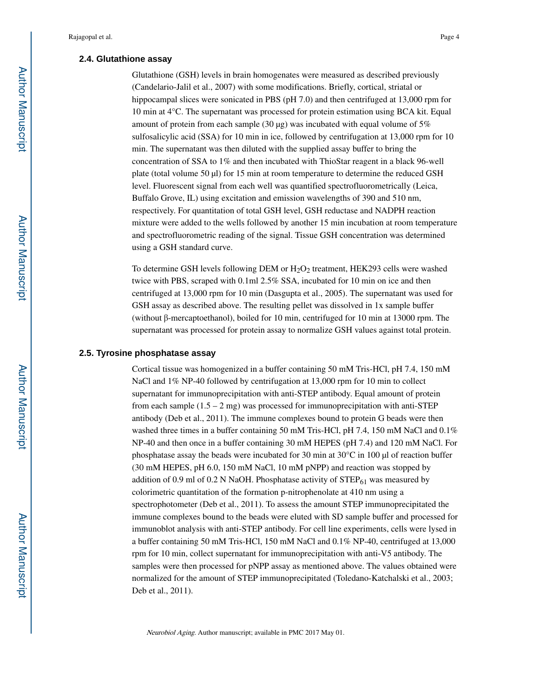#### **2.4. Glutathione assay**

Glutathione (GSH) levels in brain homogenates were measured as described previously (Candelario-Jalil et al., 2007) with some modifications. Briefly, cortical, striatal or hippocampal slices were sonicated in PBS (pH 7.0) and then centrifuged at 13,000 rpm for 10 min at 4°C. The supernatant was processed for protein estimation using BCA kit. Equal amount of protein from each sample (30 μg) was incubated with equal volume of  $5\%$ sulfosalicylic acid (SSA) for 10 min in ice, followed by centrifugation at 13,000 rpm for 10 min. The supernatant was then diluted with the supplied assay buffer to bring the concentration of SSA to 1% and then incubated with ThioStar reagent in a black 96-well plate (total volume 50 μl) for 15 min at room temperature to determine the reduced GSH level. Fluorescent signal from each well was quantified spectrofluorometrically (Leica, Buffalo Grove, IL) using excitation and emission wavelengths of 390 and 510 nm, respectively. For quantitation of total GSH level, GSH reductase and NADPH reaction mixture were added to the wells followed by another 15 min incubation at room temperature and spectrofluorometric reading of the signal. Tissue GSH concentration was determined using a GSH standard curve.

To determine GSH levels following DEM or  $H_2O_2$  treatment, HEK293 cells were washed twice with PBS, scraped with 0.1ml 2.5% SSA, incubated for 10 min on ice and then centrifuged at 13,000 rpm for 10 min (Dasgupta et al., 2005). The supernatant was used for GSH assay as described above. The resulting pellet was dissolved in 1x sample buffer (without β-mercaptoethanol), boiled for 10 min, centrifuged for 10 min at 13000 rpm. The supernatant was processed for protein assay to normalize GSH values against total protein.

## **2.5. Tyrosine phosphatase assay**

Cortical tissue was homogenized in a buffer containing 50 mM Tris-HCl, pH 7.4, 150 mM NaCl and 1% NP-40 followed by centrifugation at 13,000 rpm for 10 min to collect supernatant for immunoprecipitation with anti-STEP antibody. Equal amount of protein from each sample  $(1.5 - 2 \text{ mg})$  was processed for immunoprecipitation with anti-STEP antibody (Deb et al., 2011). The immune complexes bound to protein G beads were then washed three times in a buffer containing 50 mM Tris-HCl, pH 7.4, 150 mM NaCl and 0.1% NP-40 and then once in a buffer containing 30 mM HEPES (pH 7.4) and 120 mM NaCl. For phosphatase assay the beads were incubated for 30 min at 30°C in 100 μl of reaction buffer (30 mM HEPES, pH 6.0, 150 mM NaCl, 10 mM pNPP) and reaction was stopped by addition of 0.9 ml of 0.2 N NaOH. Phosphatase activity of  $STEP_{61}$  was measured by colorimetric quantitation of the formation p-nitrophenolate at 410 nm using a spectrophotometer (Deb et al., 2011). To assess the amount STEP immunoprecipitated the immune complexes bound to the beads were eluted with SD sample buffer and processed for immunoblot analysis with anti-STEP antibody. For cell line experiments, cells were lysed in a buffer containing 50 mM Tris-HCl, 150 mM NaCl and 0.1% NP-40, centrifuged at 13,000 rpm for 10 min, collect supernatant for immunoprecipitation with anti-V5 antibody. The samples were then processed for pNPP assay as mentioned above. The values obtained were normalized for the amount of STEP immunoprecipitated (Toledano-Katchalski et al., 2003; Deb et al., 2011).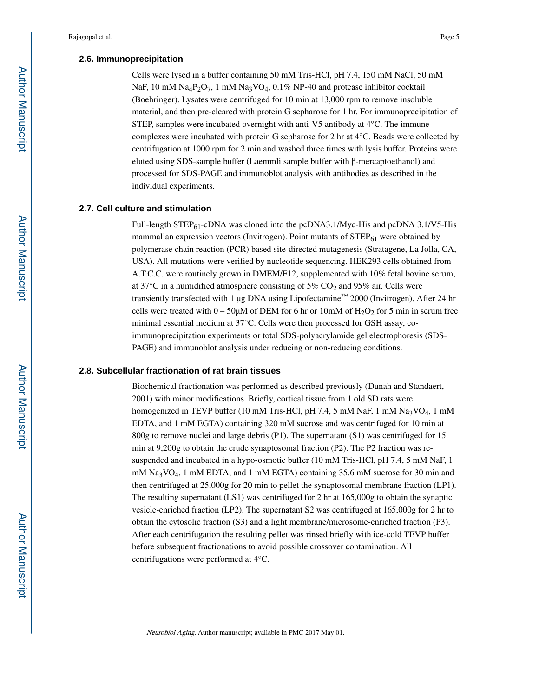#### **2.6. Immunoprecipitation**

Cells were lysed in a buffer containing 50 mM Tris-HCl, pH 7.4, 150 mM NaCl, 50 mM NaF, 10 mM Na<sub>4</sub>P<sub>2</sub>O<sub>7</sub>, 1 mM Na<sub>3</sub>VO<sub>4</sub>, 0.1% NP-40 and protease inhibitor cocktail (Boehringer). Lysates were centrifuged for 10 min at 13,000 rpm to remove insoluble material, and then pre-cleared with protein G sepharose for 1 hr. For immunoprecipitation of STEP, samples were incubated overnight with anti-V5 antibody at 4°C. The immune complexes were incubated with protein G sepharose for 2 hr at 4°C. Beads were collected by centrifugation at 1000 rpm for 2 min and washed three times with lysis buffer. Proteins were eluted using SDS-sample buffer (Laemmli sample buffer with β-mercaptoethanol) and processed for SDS-PAGE and immunoblot analysis with antibodies as described in the individual experiments.

#### **2.7. Cell culture and stimulation**

Full-length  $STEP_{61}$ -cDNA was cloned into the pcDNA3.1/Myc-His and pcDNA 3.1/V5-His mammalian expression vectors (Invitrogen). Point mutants of  $STEP_{61}$  were obtained by polymerase chain reaction (PCR) based site-directed mutagenesis (Stratagene, La Jolla, CA, USA). All mutations were verified by nucleotide sequencing. HEK293 cells obtained from A.T.C.C. were routinely grown in DMEM/F12, supplemented with 10% fetal bovine serum, at 37 $\degree$ C in a humidified atmosphere consisting of 5% CO<sub>2</sub> and 95% air. Cells were transiently transfected with 1 μg DNA using Lipofectamine™ 2000 (Invitrogen). After 24 hr cells were treated with  $0 - 50 \mu M$  of DEM for 6 hr or 10mM of  $H_2O_2$  for 5 min in serum free minimal essential medium at 37°C. Cells were then processed for GSH assay, coimmunoprecipitation experiments or total SDS-polyacrylamide gel electrophoresis (SDS-PAGE) and immunoblot analysis under reducing or non-reducing conditions.

## **2.8. Subcellular fractionation of rat brain tissues**

Biochemical fractionation was performed as described previously (Dunah and Standaert, 2001) with minor modifications. Briefly, cortical tissue from 1 old SD rats were homogenized in TEVP buffer (10 mM Tris-HCl, pH 7.4, 5 mM NaF, 1 mM Na<sub>3</sub>VO<sub>4</sub>, 1 mM EDTA, and 1 mM EGTA) containing 320 mM sucrose and was centrifuged for 10 min at 800g to remove nuclei and large debris (P1). The supernatant (S1) was centrifuged for 15 min at 9,200g to obtain the crude synaptosomal fraction (P2). The P2 fraction was resuspended and incubated in a hypo-osmotic buffer (10 mM Tris-HCl, pH 7.4, 5 mM NaF, 1 mM Na3VO4, 1 mM EDTA, and 1 mM EGTA) containing 35.6 mM sucrose for 30 min and then centrifuged at 25,000g for 20 min to pellet the synaptosomal membrane fraction (LP1). The resulting supernatant (LS1) was centrifuged for 2 hr at 165,000g to obtain the synaptic vesicle-enriched fraction (LP2). The supernatant S2 was centrifuged at 165,000g for 2 hr to obtain the cytosolic fraction (S3) and a light membrane/microsome-enriched fraction (P3). After each centrifugation the resulting pellet was rinsed briefly with ice-cold TEVP buffer before subsequent fractionations to avoid possible crossover contamination. All centrifugations were performed at 4°C.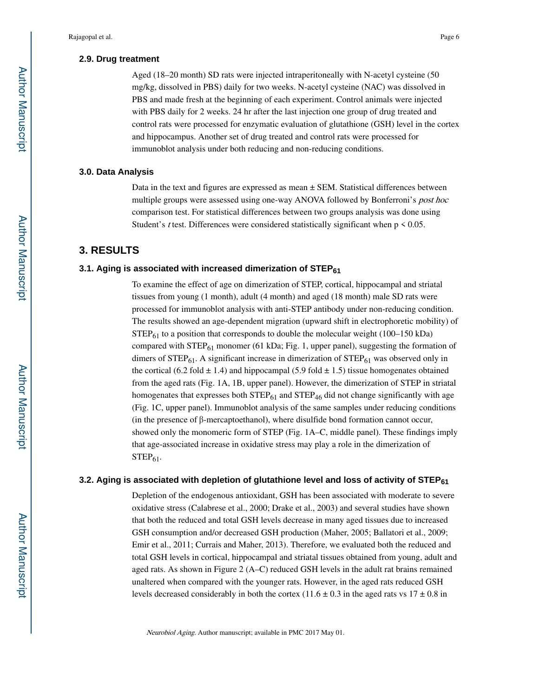#### **2.9. Drug treatment**

Aged (18–20 month) SD rats were injected intraperitoneally with N-acetyl cysteine (50 mg/kg, dissolved in PBS) daily for two weeks. N-acetyl cysteine (NAC) was dissolved in PBS and made fresh at the beginning of each experiment. Control animals were injected with PBS daily for 2 weeks. 24 hr after the last injection one group of drug treated and control rats were processed for enzymatic evaluation of glutathione (GSH) level in the cortex and hippocampus. Another set of drug treated and control rats were processed for immunoblot analysis under both reducing and non-reducing conditions.

#### **3.0. Data Analysis**

Data in the text and figures are expressed as mean  $\pm$  SEM. Statistical differences between multiple groups were assessed using one-way ANOVA followed by Bonferroni's post hoc comparison test. For statistical differences between two groups analysis was done using Student's *t* test. Differences were considered statistically significant when  $p \le 0.05$ .

## **3. RESULTS**

#### **3.1. Aging is associated with increased dimerization of STEP<sup>61</sup>**

To examine the effect of age on dimerization of STEP, cortical, hippocampal and striatal tissues from young (1 month), adult (4 month) and aged (18 month) male SD rats were processed for immunoblot analysis with anti-STEP antibody under non-reducing condition. The results showed an age-dependent migration (upward shift in electrophoretic mobility) of  $STEP<sub>61</sub>$  to a position that corresponds to double the molecular weight (100–150 kDa) compared with  $STEP_{61}$  monomer (61 kDa; Fig. 1, upper panel), suggesting the formation of dimers of  $STEP_{61}$ . A significant increase in dimerization of  $STEP_{61}$  was observed only in the cortical (6.2 fold  $\pm$  1.4) and hippocampal (5.9 fold  $\pm$  1.5) tissue homogenates obtained from the aged rats (Fig. 1A, 1B, upper panel). However, the dimerization of STEP in striatal homogenates that expresses both  $\text{STEP}_{61}$  and  $\text{STEP}_{46}$  did not change significantly with age (Fig. 1C, upper panel). Immunoblot analysis of the same samples under reducing conditions (in the presence of β-mercaptoethanol), where disulfide bond formation cannot occur, showed only the monomeric form of STEP (Fig. 1A–C, middle panel). These findings imply that age-associated increase in oxidative stress may play a role in the dimerization of  $STEP<sub>61</sub>$ .

## **3.2. Aging is associated with depletion of glutathione level and loss of activity of STEP<sup>61</sup>**

Depletion of the endogenous antioxidant, GSH has been associated with moderate to severe oxidative stress (Calabrese et al., 2000; Drake et al., 2003) and several studies have shown that both the reduced and total GSH levels decrease in many aged tissues due to increased GSH consumption and/or decreased GSH production (Maher, 2005; Ballatori et al., 2009; Emir et al., 2011; Currais and Maher, 2013). Therefore, we evaluated both the reduced and total GSH levels in cortical, hippocampal and striatal tissues obtained from young, adult and aged rats. As shown in Figure 2 (A–C) reduced GSH levels in the adult rat brains remained unaltered when compared with the younger rats. However, in the aged rats reduced GSH levels decreased considerably in both the cortex (11.6  $\pm$  0.3 in the aged rats vs 17  $\pm$  0.8 in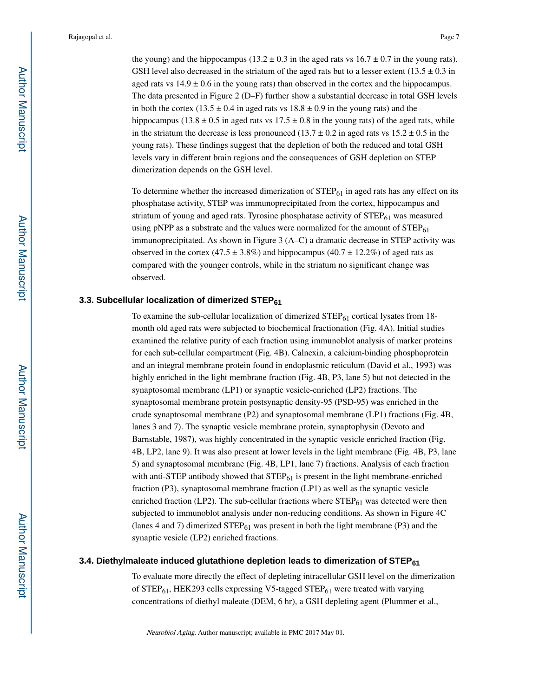the young) and the hippocampus (13.2  $\pm$  0.3 in the aged rats vs 16.7  $\pm$  0.7 in the young rats). GSH level also decreased in the striatum of the aged rats but to a lesser extent ( $13.5 \pm 0.3$  in aged rats vs  $14.9 \pm 0.6$  in the young rats) than observed in the cortex and the hippocampus. The data presented in Figure 2 (D–F) further show a substantial decrease in total GSH levels in both the cortex (13.5  $\pm$  0.4 in aged rats vs 18.8  $\pm$  0.9 in the young rats) and the hippocampus (13.8  $\pm$  0.5 in aged rats vs 17.5  $\pm$  0.8 in the young rats) of the aged rats, while in the striatum the decrease is less pronounced (13.7  $\pm$  0.2 in aged rats vs 15.2  $\pm$  0.5 in the young rats). These findings suggest that the depletion of both the reduced and total GSH levels vary in different brain regions and the consequences of GSH depletion on STEP dimerization depends on the GSH level.

To determine whether the increased dimerization of  $\mathrm{STEP}_{61}$  in aged rats has any effect on its phosphatase activity, STEP was immunoprecipitated from the cortex, hippocampus and striatum of young and aged rats. Tyrosine phosphatase activity of  $STEP_{61}$  was measured using pNPP as a substrate and the values were normalized for the amount of  $STEP_{61}$ immunoprecipitated. As shown in Figure 3 (A–C) a dramatic decrease in STEP activity was observed in the cortex (47.5  $\pm$  3.8%) and hippocampus (40.7  $\pm$  12.2%) of aged rats as compared with the younger controls, while in the striatum no significant change was observed.

## **3.3. Subcellular localization of dimerized STEP<sup>61</sup>**

To examine the sub-cellular localization of dimerized  $\text{STEP}_{61}$  cortical lysates from 18month old aged rats were subjected to biochemical fractionation (Fig. 4A). Initial studies examined the relative purity of each fraction using immunoblot analysis of marker proteins for each sub-cellular compartment (Fig. 4B). Calnexin, a calcium-binding phosphoprotein and an integral membrane protein found in endoplasmic reticulum (David et al., 1993) was highly enriched in the light membrane fraction (Fig. 4B, P3, lane 5) but not detected in the synaptosomal membrane (LP1) or synaptic vesicle-enriched (LP2) fractions. The synaptosomal membrane protein postsynaptic density-95 (PSD-95) was enriched in the crude synaptosomal membrane (P2) and synaptosomal membrane (LP1) fractions (Fig. 4B, lanes 3 and 7). The synaptic vesicle membrane protein, synaptophysin (Devoto and Barnstable, 1987), was highly concentrated in the synaptic vesicle enriched fraction (Fig. 4B, LP2, lane 9). It was also present at lower levels in the light membrane (Fig. 4B, P3, lane 5) and synaptosomal membrane (Fig. 4B, LP1, lane 7) fractions. Analysis of each fraction with anti-STEP antibody showed that  $STEP_{61}$  is present in the light membrane-enriched fraction (P3), synaptosomal membrane fraction (LP1) as well as the synaptic vesicle enriched fraction (LP2). The sub-cellular fractions where  $\text{STEP}_{61}$  was detected were then subjected to immunoblot analysis under non-reducing conditions. As shown in Figure 4C (lanes 4 and 7) dimerized  $STEP_{61}$  was present in both the light membrane (P3) and the synaptic vesicle (LP2) enriched fractions.

## **3.4. Diethylmaleate induced glutathione depletion leads to dimerization of STEP<sup>61</sup>**

To evaluate more directly the effect of depleting intracellular GSH level on the dimerization of  $STEP_{61}$ , HEK293 cells expressing V5-tagged  $STEP_{61}$  were treated with varying concentrations of diethyl maleate (DEM, 6 hr), a GSH depleting agent (Plummer et al.,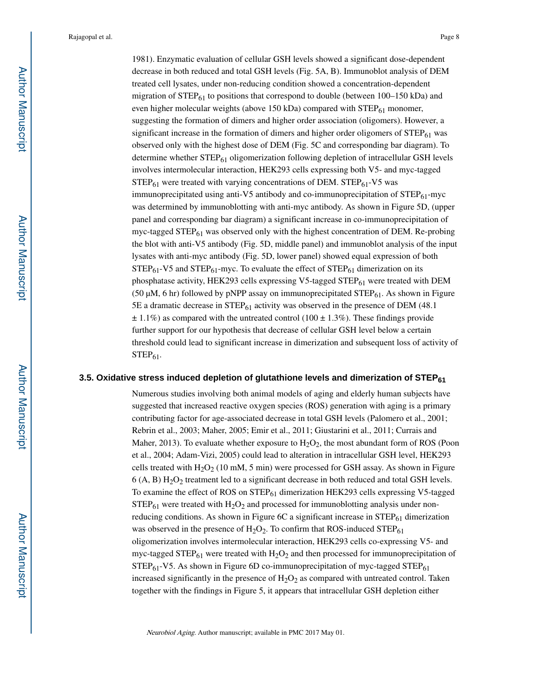1981). Enzymatic evaluation of cellular GSH levels showed a significant dose-dependent decrease in both reduced and total GSH levels (Fig. 5A, B). Immunoblot analysis of DEM treated cell lysates, under non-reducing condition showed a concentration-dependent migration of  $STEP_{61}$  to positions that correspond to double (between 100–150 kDa) and even higher molecular weights (above 150 kDa) compared with  $\text{STEP}_{61}$  monomer, suggesting the formation of dimers and higher order association (oligomers). However, a significant increase in the formation of dimers and higher order oligomers of  $STEP_{61}$  was observed only with the highest dose of DEM (Fig. 5C and corresponding bar diagram). To determine whether  $STEP_{61}$  oligomerization following depletion of intracellular GSH levels involves intermolecular interaction, HEK293 cells expressing both V5- and myc-tagged  $STEP_{61}$  were treated with varying concentrations of DEM.  $STEP_{61}$ -V5 was immunoprecipitated using anti-V5 antibody and co-immunoprecipitation of  $\text{STEP}_{61}$ -myc was determined by immunoblotting with anti-myc antibody. As shown in Figure 5D, (upper panel and corresponding bar diagram) a significant increase in co-immunoprecipitation of myc-tagged  $STEP_{61}$  was observed only with the highest concentration of DEM. Re-probing the blot with anti-V5 antibody (Fig. 5D, middle panel) and immunoblot analysis of the input lysates with anti-myc antibody (Fig. 5D, lower panel) showed equal expression of both  $STEP_{61}$ -V5 and  $STEP_{61}$ -myc. To evaluate the effect of  $STEP_{61}$  dimerization on its phosphatase activity, HEK293 cells expressing V5-tagged  $STEP_{61}$  were treated with DEM (50 μM, 6 hr) followed by pNPP assay on immunoprecipitated  $\text{STEP}_{61}$ . As shown in Figure 5E a dramatic decrease in  $STEP_{61}$  activity was observed in the presence of DEM (48.1)  $\pm$  1.1%) as compared with the untreated control (100  $\pm$  1.3%). These findings provide further support for our hypothesis that decrease of cellular GSH level below a certain threshold could lead to significant increase in dimerization and subsequent loss of activity of  $STEP_{61}$ .

#### **3.5. Oxidative stress induced depletion of glutathione levels and dimerization of STEP<sup>61</sup>**

Numerous studies involving both animal models of aging and elderly human subjects have suggested that increased reactive oxygen species (ROS) generation with aging is a primary contributing factor for age-associated decrease in total GSH levels (Palomero et al., 2001; Rebrin et al., 2003; Maher, 2005; Emir et al., 2011; Giustarini et al., 2011; Currais and Maher, 2013). To evaluate whether exposure to  $H_2O_2$ , the most abundant form of ROS (Poon et al., 2004; Adam-Vizi, 2005) could lead to alteration in intracellular GSH level, HEK293 cells treated with  $H_2O_2$  (10 mM, 5 min) were processed for GSH assay. As shown in Figure  $6$  (A, B)  $H<sub>2</sub>O<sub>2</sub>$  treatment led to a significant decrease in both reduced and total GSH levels. To examine the effect of ROS on  $STEP_{61}$  dimerization HEK293 cells expressing V5-tagged  $STEP_{61}$  were treated with  $H_2O_2$  and processed for immunoblotting analysis under nonreducing conditions. As shown in Figure 6C a significant increase in  $STEP_{61}$  dimerization was observed in the presence of  $H_2O_2$ . To confirm that ROS-induced STEP<sub>61</sub> oligomerization involves intermolecular interaction, HEK293 cells co-expressing V5- and myc-tagged STEP $_{61}$  were treated with  $H_2O_2$  and then processed for immunoprecipitation of  $STEP_{61}$ -V5. As shown in Figure 6D co-immunoprecipitation of myc-tagged  $STEP_{61}$ increased significantly in the presence of  $H_2O_2$  as compared with untreated control. Taken together with the findings in Figure 5, it appears that intracellular GSH depletion either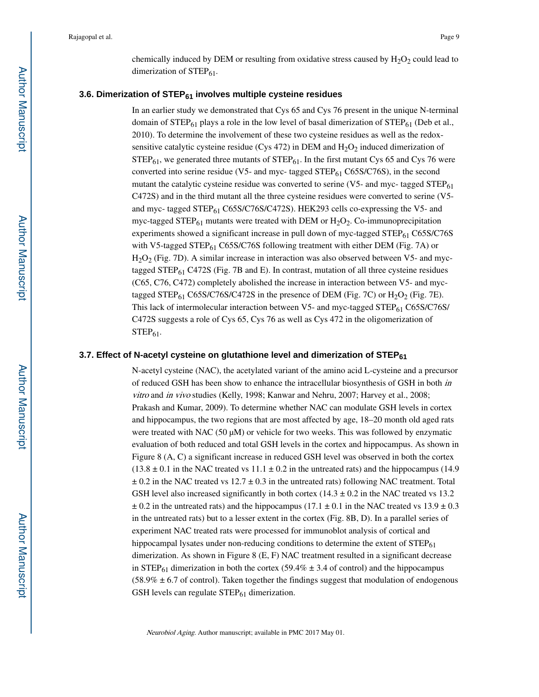chemically induced by DEM or resulting from oxidative stress caused by  $H_2O_2$  could lead to dimerization of  $STEP_{61}$ .

#### **3.6. Dimerization of STEP61 involves multiple cysteine residues**

In an earlier study we demonstrated that Cys 65 and Cys 76 present in the unique N-terminal domain of  $STEP_{61}$  plays a role in the low level of basal dimerization of  $STEP_{61}$  (Deb et al., 2010). To determine the involvement of these two cysteine residues as well as the redoxsensitive catalytic cysteine residue (Cys 472) in DEM and  $H_2O_2$  induced dimerization of  $STEP_{61}$ , we generated three mutants of  $STEP_{61}$ . In the first mutant Cys 65 and Cys 76 were converted into serine residue (V5- and myc- tagged  $STEP_{61}$  C65S/C76S), in the second mutant the catalytic cysteine residue was converted to serine (V5- and myc- tagged  $STEP_{61}$ C472S) and in the third mutant all the three cysteine residues were converted to serine (V5 and myc- tagged STEP<sub>61</sub> C65S/C76S/C472S). HEK293 cells co-expressing the V5- and myc-tagged STEP $_{61}$  mutants were treated with DEM or  $H_2O_2$ . Co-immunoprecipitation experiments showed a significant increase in pull down of myc-tagged  $STEP_{61}$  C65S/C76S with V5-tagged STEP $_{61}$  C65S/C76S following treatment with either DEM (Fig. 7A) or  $H<sub>2</sub>O<sub>2</sub>$  (Fig. 7D). A similar increase in interaction was also observed between V5- and myctagged STEP $_{61}$  C472S (Fig. 7B and E). In contrast, mutation of all three cysteine residues (C65, C76, C472) completely abolished the increase in interaction between V5- and myctagged STEP<sub>61</sub> C65S/C76S/C472S in the presence of DEM (Fig. 7C) or  $H_2O_2$  (Fig. 7E). This lack of intermolecular interaction between V5- and myc-tagged STEP<sub>61</sub> C65S/C76S/ C472S suggests a role of Cys 65, Cys 76 as well as Cys 472 in the oligomerization of  $STEP_{61}$ .

#### **3.7. Effect of N-acetyl cysteine on glutathione level and dimerization of STEP<sup>61</sup>**

N-acetyl cysteine (NAC), the acetylated variant of the amino acid L-cysteine and a precursor of reduced GSH has been show to enhance the intracellular biosynthesis of GSH in both in vitro and in vivo studies (Kelly, 1998; Kanwar and Nehru, 2007; Harvey et al., 2008; Prakash and Kumar, 2009). To determine whether NAC can modulate GSH levels in cortex and hippocampus, the two regions that are most affected by age, 18–20 month old aged rats were treated with NAC (50  $\mu$ M) or vehicle for two weeks. This was followed by enzymatic evaluation of both reduced and total GSH levels in the cortex and hippocampus. As shown in Figure 8 (A, C) a significant increase in reduced GSH level was observed in both the cortex  $(13.8 \pm 0.1)$  in the NAC treated vs  $11.1 \pm 0.2$  in the untreated rats) and the hippocampus (14.9)  $\pm$  0.2 in the NAC treated vs 12.7  $\pm$  0.3 in the untreated rats) following NAC treatment. Total GSH level also increased significantly in both cortex  $(14.3 \pm 0.2)$  in the NAC treated vs 13.2  $\pm$  0.2 in the untreated rats) and the hippocampus (17.1  $\pm$  0.1 in the NAC treated vs 13.9  $\pm$  0.3 in the untreated rats) but to a lesser extent in the cortex (Fig. 8B, D). In a parallel series of experiment NAC treated rats were processed for immunoblot analysis of cortical and hippocampal lysates under non-reducing conditions to determine the extent of  $STEP_{61}$ dimerization. As shown in Figure 8 (E, F) NAC treatment resulted in a significant decrease in  $STEP_{61}$  dimerization in both the cortex (59.4%  $\pm$  3.4 of control) and the hippocampus  $(58.9% \pm 6.7)$  of control). Taken together the findings suggest that modulation of endogenous GSH levels can regulate  $STEP_{61}$  dimerization.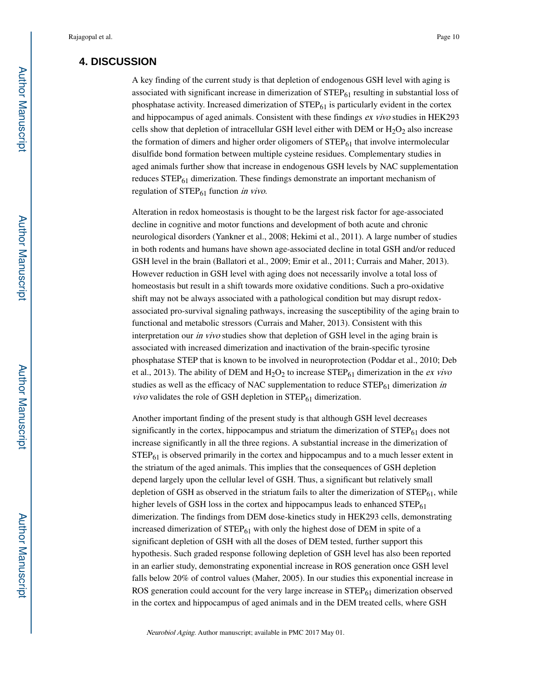## **4. DISCUSSION**

A key finding of the current study is that depletion of endogenous GSH level with aging is associated with significant increase in dimerization of  $\text{STEP}_{61}$  resulting in substantial loss of phosphatase activity. Increased dimerization of  $\text{STEP}_{61}$  is particularly evident in the cortex and hippocampus of aged animals. Consistent with these findings ex vivo studies in HEK293 cells show that depletion of intracellular GSH level either with DEM or  $H_2O_2$  also increase the formation of dimers and higher order oligomers of  $\text{STEP}_{61}$  that involve intermolecular disulfide bond formation between multiple cysteine residues. Complementary studies in aged animals further show that increase in endogenous GSH levels by NAC supplementation reduces  $STEP_{61}$  dimerization. These findings demonstrate an important mechanism of regulation of  $STEP_{61}$  function in vivo.

Alteration in redox homeostasis is thought to be the largest risk factor for age-associated decline in cognitive and motor functions and development of both acute and chronic neurological disorders (Yankner et al., 2008; Hekimi et al., 2011). A large number of studies in both rodents and humans have shown age-associated decline in total GSH and/or reduced GSH level in the brain (Ballatori et al., 2009; Emir et al., 2011; Currais and Maher, 2013). However reduction in GSH level with aging does not necessarily involve a total loss of homeostasis but result in a shift towards more oxidative conditions. Such a pro-oxidative shift may not be always associated with a pathological condition but may disrupt redoxassociated pro-survival signaling pathways, increasing the susceptibility of the aging brain to functional and metabolic stressors (Currais and Maher, 2013). Consistent with this interpretation our *in vivo* studies show that depletion of GSH level in the aging brain is associated with increased dimerization and inactivation of the brain-specific tyrosine phosphatase STEP that is known to be involved in neuroprotection (Poddar et al., 2010; Deb et al., 2013). The ability of DEM and  $H_2O_2$  to increase STEP<sub>61</sub> dimerization in the *ex vivo* studies as well as the efficacy of NAC supplementation to reduce  $\text{STEP}_{61}$  dimerization in *vivo* validates the role of GSH depletion in  $STEP_{61}$  dimerization.

Another important finding of the present study is that although GSH level decreases significantly in the cortex, hippocampus and striatum the dimerization of  $STEP_{61}$  does not increase significantly in all the three regions. A substantial increase in the dimerization of  $STEP_{61}$  is observed primarily in the cortex and hippocampus and to a much lesser extent in the striatum of the aged animals. This implies that the consequences of GSH depletion depend largely upon the cellular level of GSH. Thus, a significant but relatively small depletion of GSH as observed in the striatum fails to alter the dimerization of  $STEP_{61}$ , while higher levels of GSH loss in the cortex and hippocampus leads to enhanced  $STEP_{61}$ dimerization. The findings from DEM dose-kinetics study in HEK293 cells, demonstrating increased dimerization of  $STEP_{61}$  with only the highest dose of DEM in spite of a significant depletion of GSH with all the doses of DEM tested, further support this hypothesis. Such graded response following depletion of GSH level has also been reported in an earlier study, demonstrating exponential increase in ROS generation once GSH level falls below 20% of control values (Maher, 2005). In our studies this exponential increase in ROS generation could account for the very large increase in  $\text{STEP}_{61}$  dimerization observed in the cortex and hippocampus of aged animals and in the DEM treated cells, where GSH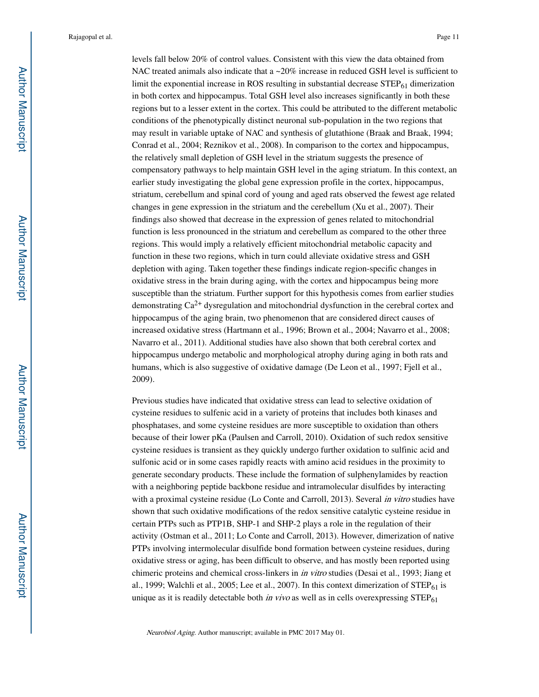levels fall below 20% of control values. Consistent with this view the data obtained from NAC treated animals also indicate that a  $\sim$  20% increase in reduced GSH level is sufficient to limit the exponential increase in ROS resulting in substantial decrease  $\text{STEP}_{61}$  dimerization in both cortex and hippocampus. Total GSH level also increases significantly in both these regions but to a lesser extent in the cortex. This could be attributed to the different metabolic conditions of the phenotypically distinct neuronal sub-population in the two regions that may result in variable uptake of NAC and synthesis of glutathione (Braak and Braak, 1994; Conrad et al., 2004; Reznikov et al., 2008). In comparison to the cortex and hippocampus, the relatively small depletion of GSH level in the striatum suggests the presence of compensatory pathways to help maintain GSH level in the aging striatum. In this context, an earlier study investigating the global gene expression profile in the cortex, hippocampus, striatum, cerebellum and spinal cord of young and aged rats observed the fewest age related changes in gene expression in the striatum and the cerebellum (Xu et al., 2007). Their findings also showed that decrease in the expression of genes related to mitochondrial function is less pronounced in the striatum and cerebellum as compared to the other three regions. This would imply a relatively efficient mitochondrial metabolic capacity and function in these two regions, which in turn could alleviate oxidative stress and GSH depletion with aging. Taken together these findings indicate region-specific changes in oxidative stress in the brain during aging, with the cortex and hippocampus being more susceptible than the striatum. Further support for this hypothesis comes from earlier studies demonstrating Ca2+ dysregulation and mitochondrial dysfunction in the cerebral cortex and hippocampus of the aging brain, two phenomenon that are considered direct causes of increased oxidative stress (Hartmann et al., 1996; Brown et al., 2004; Navarro et al., 2008; Navarro et al., 2011). Additional studies have also shown that both cerebral cortex and hippocampus undergo metabolic and morphological atrophy during aging in both rats and humans, which is also suggestive of oxidative damage (De Leon et al., 1997; Fjell et al., 2009).

Previous studies have indicated that oxidative stress can lead to selective oxidation of cysteine residues to sulfenic acid in a variety of proteins that includes both kinases and phosphatases, and some cysteine residues are more susceptible to oxidation than others because of their lower pKa (Paulsen and Carroll, 2010). Oxidation of such redox sensitive cysteine residues is transient as they quickly undergo further oxidation to sulfinic acid and sulfonic acid or in some cases rapidly reacts with amino acid residues in the proximity to generate secondary products. These include the formation of sulphenylamides by reaction with a neighboring peptide backbone residue and intramolecular disulfides by interacting with a proximal cysteine residue (Lo Conte and Carroll, 2013). Several *in vitro* studies have shown that such oxidative modifications of the redox sensitive catalytic cysteine residue in certain PTPs such as PTP1B, SHP-1 and SHP-2 plays a role in the regulation of their activity (Ostman et al., 2011; Lo Conte and Carroll, 2013). However, dimerization of native PTPs involving intermolecular disulfide bond formation between cysteine residues, during oxidative stress or aging, has been difficult to observe, and has mostly been reported using chimeric proteins and chemical cross-linkers in in vitro studies (Desai et al., 1993; Jiang et al., 1999; Walchli et al., 2005; Lee et al., 2007). In this context dimerization of  $STEP_{61}$  is unique as it is readily detectable both in vivo as well as in cells overexpressing  $STEP_{61}$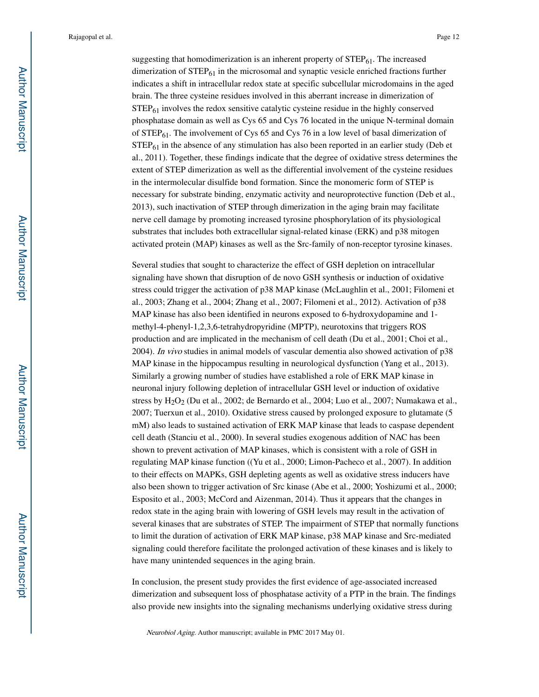suggesting that homodimerization is an inherent property of  $STEP_{61}$ . The increased dimerization of  $STEP_{61}$  in the microsomal and synaptic vesicle enriched fractions further indicates a shift in intracellular redox state at specific subcellular microdomains in the aged brain. The three cysteine residues involved in this aberrant increase in dimerization of  $STEP<sub>61</sub>$  involves the redox sensitive catalytic cysteine residue in the highly conserved phosphatase domain as well as Cys 65 and Cys 76 located in the unique N-terminal domain of  $STEP_{61}$ . The involvement of Cys 65 and Cys 76 in a low level of basal dimerization of  $STEP_{61}$  in the absence of any stimulation has also been reported in an earlier study (Deb et al., 2011). Together, these findings indicate that the degree of oxidative stress determines the extent of STEP dimerization as well as the differential involvement of the cysteine residues in the intermolecular disulfide bond formation. Since the monomeric form of STEP is necessary for substrate binding, enzymatic activity and neuroprotective function (Deb et al., 2013), such inactivation of STEP through dimerization in the aging brain may facilitate nerve cell damage by promoting increased tyrosine phosphorylation of its physiological substrates that includes both extracellular signal-related kinase (ERK) and p38 mitogen activated protein (MAP) kinases as well as the Src-family of non-receptor tyrosine kinases.

Several studies that sought to characterize the effect of GSH depletion on intracellular signaling have shown that disruption of de novo GSH synthesis or induction of oxidative stress could trigger the activation of p38 MAP kinase (McLaughlin et al., 2001; Filomeni et al., 2003; Zhang et al., 2004; Zhang et al., 2007; Filomeni et al., 2012). Activation of p38 MAP kinase has also been identified in neurons exposed to 6-hydroxydopamine and 1 methyl-4-phenyl-1,2,3,6-tetrahydropyridine (MPTP), neurotoxins that triggers ROS production and are implicated in the mechanism of cell death (Du et al., 2001; Choi et al., 2004). In vivo studies in animal models of vascular dementia also showed activation of p38 MAP kinase in the hippocampus resulting in neurological dysfunction (Yang et al., 2013). Similarly a growing number of studies have established a role of ERK MAP kinase in neuronal injury following depletion of intracellular GSH level or induction of oxidative stress by  $H_2O_2$  (Du et al., 2002; de Bernardo et al., 2004; Luo et al., 2007; Numakawa et al., 2007; Tuerxun et al., 2010). Oxidative stress caused by prolonged exposure to glutamate (5 mM) also leads to sustained activation of ERK MAP kinase that leads to caspase dependent cell death (Stanciu et al., 2000). In several studies exogenous addition of NAC has been shown to prevent activation of MAP kinases, which is consistent with a role of GSH in regulating MAP kinase function ((Yu et al., 2000; Limon-Pacheco et al., 2007). In addition to their effects on MAPKs, GSH depleting agents as well as oxidative stress inducers have also been shown to trigger activation of Src kinase (Abe et al., 2000; Yoshizumi et al., 2000; Esposito et al., 2003; McCord and Aizenman, 2014). Thus it appears that the changes in redox state in the aging brain with lowering of GSH levels may result in the activation of several kinases that are substrates of STEP. The impairment of STEP that normally functions to limit the duration of activation of ERK MAP kinase, p38 MAP kinase and Src-mediated signaling could therefore facilitate the prolonged activation of these kinases and is likely to have many unintended sequences in the aging brain.

In conclusion, the present study provides the first evidence of age-associated increased dimerization and subsequent loss of phosphatase activity of a PTP in the brain. The findings also provide new insights into the signaling mechanisms underlying oxidative stress during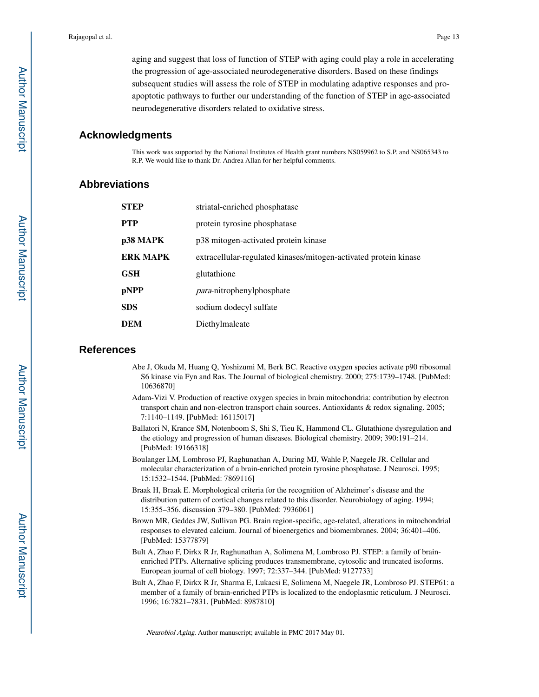aging and suggest that loss of function of STEP with aging could play a role in accelerating the progression of age-associated neurodegenerative disorders. Based on these findings subsequent studies will assess the role of STEP in modulating adaptive responses and proapoptotic pathways to further our understanding of the function of STEP in age-associated neurodegenerative disorders related to oxidative stress.

## **Acknowledgments**

This work was supported by the National Institutes of Health grant numbers NS059962 to S.P. and NS065343 to R.P. We would like to thank Dr. Andrea Allan for her helpful comments.

## **Abbreviations**

| <b>STEP</b>     | striatal-enriched phosphatase                                    |
|-----------------|------------------------------------------------------------------|
| <b>PTP</b>      | protein tyrosine phosphatase                                     |
| p38 MAPK        | p38 mitogen-activated protein kinase                             |
| <b>ERK MAPK</b> | extracellular-regulated kinases/mitogen-activated protein kinase |
| <b>GSH</b>      | glutathione                                                      |
| pNPP            | para-nitrophenylphosphate                                        |
| <b>SDS</b>      | sodium dodecyl sulfate                                           |
| <b>DEM</b>      | Diethylmaleate                                                   |

## **References**

- Abe J, Okuda M, Huang Q, Yoshizumi M, Berk BC. Reactive oxygen species activate p90 ribosomal S6 kinase via Fyn and Ras. The Journal of biological chemistry. 2000; 275:1739–1748. [PubMed: 10636870]
- Adam-Vizi V. Production of reactive oxygen species in brain mitochondria: contribution by electron transport chain and non-electron transport chain sources. Antioxidants & redox signaling. 2005; 7:1140–1149. [PubMed: 16115017]
- Ballatori N, Krance SM, Notenboom S, Shi S, Tieu K, Hammond CL. Glutathione dysregulation and the etiology and progression of human diseases. Biological chemistry. 2009; 390:191–214. [PubMed: 19166318]
- Boulanger LM, Lombroso PJ, Raghunathan A, During MJ, Wahle P, Naegele JR. Cellular and molecular characterization of a brain-enriched protein tyrosine phosphatase. J Neurosci. 1995; 15:1532–1544. [PubMed: 7869116]
- Braak H, Braak E. Morphological criteria for the recognition of Alzheimer's disease and the distribution pattern of cortical changes related to this disorder. Neurobiology of aging. 1994; 15:355–356. discussion 379–380. [PubMed: 7936061]
- Brown MR, Geddes JW, Sullivan PG. Brain region-specific, age-related, alterations in mitochondrial responses to elevated calcium. Journal of bioenergetics and biomembranes. 2004; 36:401–406. [PubMed: 15377879]
- Bult A, Zhao F, Dirkx R Jr, Raghunathan A, Solimena M, Lombroso PJ. STEP: a family of brainenriched PTPs. Alternative splicing produces transmembrane, cytosolic and truncated isoforms. European journal of cell biology. 1997; 72:337–344. [PubMed: 9127733]
- Bult A, Zhao F, Dirkx R Jr, Sharma E, Lukacsi E, Solimena M, Naegele JR, Lombroso PJ. STEP61: a member of a family of brain-enriched PTPs is localized to the endoplasmic reticulum. J Neurosci. 1996; 16:7821–7831. [PubMed: 8987810]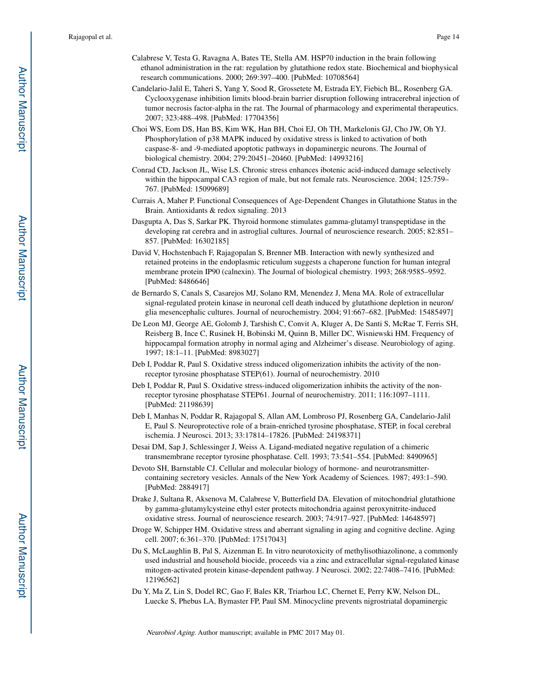- Calabrese V, Testa G, Ravagna A, Bates TE, Stella AM. HSP70 induction in the brain following ethanol administration in the rat: regulation by glutathione redox state. Biochemical and biophysical research communications. 2000; 269:397–400. [PubMed: 10708564]
- Candelario-Jalil E, Taheri S, Yang Y, Sood R, Grossetete M, Estrada EY, Fiebich BL, Rosenberg GA. Cyclooxygenase inhibition limits blood-brain barrier disruption following intracerebral injection of tumor necrosis factor-alpha in the rat. The Journal of pharmacology and experimental therapeutics. 2007; 323:488–498. [PubMed: 17704356]
- Choi WS, Eom DS, Han BS, Kim WK, Han BH, Choi EJ, Oh TH, Markelonis GJ, Cho JW, Oh YJ. Phosphorylation of p38 MAPK induced by oxidative stress is linked to activation of both caspase-8- and -9-mediated apoptotic pathways in dopaminergic neurons. The Journal of biological chemistry. 2004; 279:20451–20460. [PubMed: 14993216]
- Conrad CD, Jackson JL, Wise LS. Chronic stress enhances ibotenic acid-induced damage selectively within the hippocampal CA3 region of male, but not female rats. Neuroscience. 2004; 125:759– 767. [PubMed: 15099689]
- Currais A, Maher P. Functional Consequences of Age-Dependent Changes in Glutathione Status in the Brain. Antioxidants & redox signaling. 2013
- Dasgupta A, Das S, Sarkar PK. Thyroid hormone stimulates gamma-glutamyl transpeptidase in the developing rat cerebra and in astroglial cultures. Journal of neuroscience research. 2005; 82:851– 857. [PubMed: 16302185]
- David V, Hochstenbach F, Rajagopalan S, Brenner MB. Interaction with newly synthesized and retained proteins in the endoplasmic reticulum suggests a chaperone function for human integral membrane protein IP90 (calnexin). The Journal of biological chemistry. 1993; 268:9585–9592. [PubMed: 8486646]
- de Bernardo S, Canals S, Casarejos MJ, Solano RM, Menendez J, Mena MA. Role of extracellular signal-regulated protein kinase in neuronal cell death induced by glutathione depletion in neuron/ glia mesencephalic cultures. Journal of neurochemistry. 2004; 91:667–682. [PubMed: 15485497]
- De Leon MJ, George AE, Golomb J, Tarshish C, Convit A, Kluger A, De Santi S, McRae T, Ferris SH, Reisberg B, Ince C, Rusinek H, Bobinski M, Quinn B, Miller DC, Wisniewski HM. Frequency of hippocampal formation atrophy in normal aging and Alzheimer's disease. Neurobiology of aging. 1997; 18:1–11. [PubMed: 8983027]
- Deb I, Poddar R, Paul S. Oxidative stress induced oligomerization inhibits the activity of the nonreceptor tyrosine phosphatase STEP(61). Journal of neurochemistry. 2010
- Deb I, Poddar R, Paul S. Oxidative stress-induced oligomerization inhibits the activity of the nonreceptor tyrosine phosphatase STEP61. Journal of neurochemistry. 2011; 116:1097–1111. [PubMed: 21198639]
- Deb I, Manhas N, Poddar R, Rajagopal S, Allan AM, Lombroso PJ, Rosenberg GA, Candelario-Jalil E, Paul S. Neuroprotective role of a brain-enriched tyrosine phosphatase, STEP, in focal cerebral ischemia. J Neurosci. 2013; 33:17814–17826. [PubMed: 24198371]
- Desai DM, Sap J, Schlessinger J, Weiss A. Ligand-mediated negative regulation of a chimeric transmembrane receptor tyrosine phosphatase. Cell. 1993; 73:541–554. [PubMed: 8490965]
- Devoto SH, Barnstable CJ. Cellular and molecular biology of hormone- and neurotransmittercontaining secretory vesicles. Annals of the New York Academy of Sciences. 1987; 493:1–590. [PubMed: 2884917]
- Drake J, Sultana R, Aksenova M, Calabrese V, Butterfield DA. Elevation of mitochondrial glutathione by gamma-glutamylcysteine ethyl ester protects mitochondria against peroxynitrite-induced oxidative stress. Journal of neuroscience research. 2003; 74:917–927. [PubMed: 14648597]
- Droge W, Schipper HM. Oxidative stress and aberrant signaling in aging and cognitive decline. Aging cell. 2007; 6:361–370. [PubMed: 17517043]
- Du S, McLaughlin B, Pal S, Aizenman E. In vitro neurotoxicity of methylisothiazolinone, a commonly used industrial and household biocide, proceeds via a zinc and extracellular signal-regulated kinase mitogen-activated protein kinase-dependent pathway. J Neurosci. 2002; 22:7408–7416. [PubMed: 12196562]
- Du Y, Ma Z, Lin S, Dodel RC, Gao F, Bales KR, Triarhou LC, Chernet E, Perry KW, Nelson DL, Luecke S, Phebus LA, Bymaster FP, Paul SM. Minocycline prevents nigrostriatal dopaminergic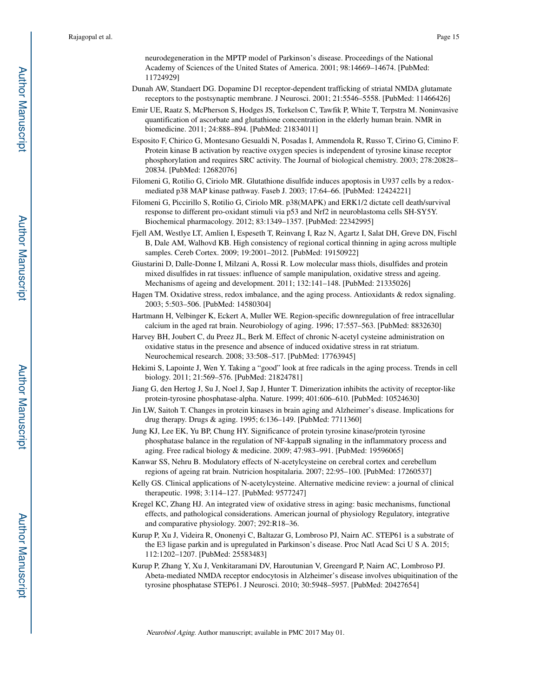neurodegeneration in the MPTP model of Parkinson's disease. Proceedings of the National Academy of Sciences of the United States of America. 2001; 98:14669–14674. [PubMed: 11724929]

- Dunah AW, Standaert DG. Dopamine D1 receptor-dependent trafficking of striatal NMDA glutamate receptors to the postsynaptic membrane. J Neurosci. 2001; 21:5546–5558. [PubMed: 11466426]
- Emir UE, Raatz S, McPherson S, Hodges JS, Torkelson C, Tawfik P, White T, Terpstra M. Noninvasive quantification of ascorbate and glutathione concentration in the elderly human brain. NMR in biomedicine. 2011; 24:888–894. [PubMed: 21834011]
- Esposito F, Chirico G, Montesano Gesualdi N, Posadas I, Ammendola R, Russo T, Cirino G, Cimino F. Protein kinase B activation by reactive oxygen species is independent of tyrosine kinase receptor phosphorylation and requires SRC activity. The Journal of biological chemistry. 2003; 278:20828– 20834. [PubMed: 12682076]
- Filomeni G, Rotilio G, Ciriolo MR. Glutathione disulfide induces apoptosis in U937 cells by a redoxmediated p38 MAP kinase pathway. Faseb J. 2003; 17:64–66. [PubMed: 12424221]
- Filomeni G, Piccirillo S, Rotilio G, Ciriolo MR. p38(MAPK) and ERK1/2 dictate cell death/survival response to different pro-oxidant stimuli via p53 and Nrf2 in neuroblastoma cells SH-SY5Y. Biochemical pharmacology. 2012; 83:1349–1357. [PubMed: 22342995]
- Fjell AM, Westlye LT, Amlien I, Espeseth T, Reinvang I, Raz N, Agartz I, Salat DH, Greve DN, Fischl B, Dale AM, Walhovd KB. High consistency of regional cortical thinning in aging across multiple samples. Cereb Cortex. 2009; 19:2001–2012. [PubMed: 19150922]
- Giustarini D, Dalle-Donne I, Milzani A, Rossi R. Low molecular mass thiols, disulfides and protein mixed disulfides in rat tissues: influence of sample manipulation, oxidative stress and ageing. Mechanisms of ageing and development. 2011; 132:141–148. [PubMed: 21335026]
- Hagen TM. Oxidative stress, redox imbalance, and the aging process. Antioxidants & redox signaling. 2003; 5:503–506. [PubMed: 14580304]
- Hartmann H, Velbinger K, Eckert A, Muller WE. Region-specific downregulation of free intracellular calcium in the aged rat brain. Neurobiology of aging. 1996; 17:557–563. [PubMed: 8832630]
- Harvey BH, Joubert C, du Preez JL, Berk M. Effect of chronic N-acetyl cysteine administration on oxidative status in the presence and absence of induced oxidative stress in rat striatum. Neurochemical research. 2008; 33:508–517. [PubMed: 17763945]
- Hekimi S, Lapointe J, Wen Y. Taking a "good" look at free radicals in the aging process. Trends in cell biology. 2011; 21:569–576. [PubMed: 21824781]
- Jiang G, den Hertog J, Su J, Noel J, Sap J, Hunter T. Dimerization inhibits the activity of receptor-like protein-tyrosine phosphatase-alpha. Nature. 1999; 401:606–610. [PubMed: 10524630]
- Jin LW, Saitoh T. Changes in protein kinases in brain aging and Alzheimer's disease. Implications for drug therapy. Drugs & aging. 1995; 6:136–149. [PubMed: 7711360]
- Jung KJ, Lee EK, Yu BP, Chung HY. Significance of protein tyrosine kinase/protein tyrosine phosphatase balance in the regulation of NF-kappaB signaling in the inflammatory process and aging. Free radical biology & medicine. 2009; 47:983–991. [PubMed: 19596065]
- Kanwar SS, Nehru B. Modulatory effects of N-acetylcysteine on cerebral cortex and cerebellum regions of ageing rat brain. Nutricion hospitalaria. 2007; 22:95–100. [PubMed: 17260537]
- Kelly GS. Clinical applications of N-acetylcysteine. Alternative medicine review: a journal of clinical therapeutic. 1998; 3:114–127. [PubMed: 9577247]
- Kregel KC, Zhang HJ. An integrated view of oxidative stress in aging: basic mechanisms, functional effects, and pathological considerations. American journal of physiology Regulatory, integrative and comparative physiology. 2007; 292:R18–36.
- Kurup P, Xu J, Videira R, Ononenyi C, Baltazar G, Lombroso PJ, Nairn AC. STEP61 is a substrate of the E3 ligase parkin and is upregulated in Parkinson's disease. Proc Natl Acad Sci U S A. 2015; 112:1202–1207. [PubMed: 25583483]
- Kurup P, Zhang Y, Xu J, Venkitaramani DV, Haroutunian V, Greengard P, Nairn AC, Lombroso PJ. Abeta-mediated NMDA receptor endocytosis in Alzheimer's disease involves ubiquitination of the tyrosine phosphatase STEP61. J Neurosci. 2010; 30:5948–5957. [PubMed: 20427654]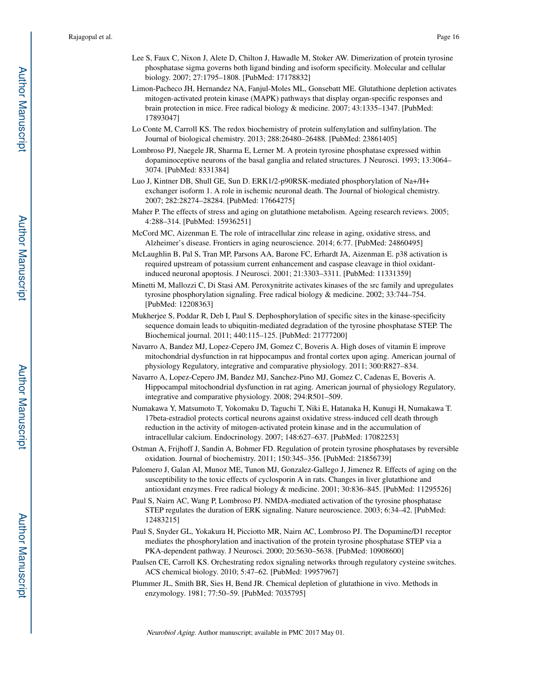- Lee S, Faux C, Nixon J, Alete D, Chilton J, Hawadle M, Stoker AW. Dimerization of protein tyrosine phosphatase sigma governs both ligand binding and isoform specificity. Molecular and cellular biology. 2007; 27:1795–1808. [PubMed: 17178832]
- Limon-Pacheco JH, Hernandez NA, Fanjul-Moles ML, Gonsebatt ME. Glutathione depletion activates mitogen-activated protein kinase (MAPK) pathways that display organ-specific responses and brain protection in mice. Free radical biology & medicine. 2007; 43:1335–1347. [PubMed: 17893047]
- Lo Conte M, Carroll KS. The redox biochemistry of protein sulfenylation and sulfinylation. The Journal of biological chemistry. 2013; 288:26480–26488. [PubMed: 23861405]
- Lombroso PJ, Naegele JR, Sharma E, Lerner M. A protein tyrosine phosphatase expressed within dopaminoceptive neurons of the basal ganglia and related structures. J Neurosci. 1993; 13:3064– 3074. [PubMed: 8331384]
- Luo J, Kintner DB, Shull GE, Sun D. ERK1/2-p90RSK-mediated phosphorylation of Na+/H+ exchanger isoform 1. A role in ischemic neuronal death. The Journal of biological chemistry. 2007; 282:28274–28284. [PubMed: 17664275]
- Maher P. The effects of stress and aging on glutathione metabolism. Ageing research reviews. 2005; 4:288–314. [PubMed: 15936251]
- McCord MC, Aizenman E. The role of intracellular zinc release in aging, oxidative stress, and Alzheimer's disease. Frontiers in aging neuroscience. 2014; 6:77. [PubMed: 24860495]
- McLaughlin B, Pal S, Tran MP, Parsons AA, Barone FC, Erhardt JA, Aizenman E. p38 activation is required upstream of potassium current enhancement and caspase cleavage in thiol oxidantinduced neuronal apoptosis. J Neurosci. 2001; 21:3303–3311. [PubMed: 11331359]
- Minetti M, Mallozzi C, Di Stasi AM. Peroxynitrite activates kinases of the src family and upregulates tyrosine phosphorylation signaling. Free radical biology & medicine. 2002; 33:744–754. [PubMed: 12208363]
- Mukherjee S, Poddar R, Deb I, Paul S. Dephosphorylation of specific sites in the kinase-specificity sequence domain leads to ubiquitin-mediated degradation of the tyrosine phosphatase STEP. The Biochemical journal. 2011; 440:115–125. [PubMed: 21777200]
- Navarro A, Bandez MJ, Lopez-Cepero JM, Gomez C, Boveris A. High doses of vitamin E improve mitochondrial dysfunction in rat hippocampus and frontal cortex upon aging. American journal of physiology Regulatory, integrative and comparative physiology. 2011; 300:R827–834.
- Navarro A, Lopez-Cepero JM, Bandez MJ, Sanchez-Pino MJ, Gomez C, Cadenas E, Boveris A. Hippocampal mitochondrial dysfunction in rat aging. American journal of physiology Regulatory, integrative and comparative physiology. 2008; 294:R501–509.
- Numakawa Y, Matsumoto T, Yokomaku D, Taguchi T, Niki E, Hatanaka H, Kunugi H, Numakawa T. 17beta-estradiol protects cortical neurons against oxidative stress-induced cell death through reduction in the activity of mitogen-activated protein kinase and in the accumulation of intracellular calcium. Endocrinology. 2007; 148:627–637. [PubMed: 17082253]
- Ostman A, Frijhoff J, Sandin A, Bohmer FD. Regulation of protein tyrosine phosphatases by reversible oxidation. Journal of biochemistry. 2011; 150:345–356. [PubMed: 21856739]
- Palomero J, Galan AI, Munoz ME, Tunon MJ, Gonzalez-Gallego J, Jimenez R. Effects of aging on the susceptibility to the toxic effects of cyclosporin A in rats. Changes in liver glutathione and antioxidant enzymes. Free radical biology & medicine. 2001; 30:836–845. [PubMed: 11295526]
- Paul S, Nairn AC, Wang P, Lombroso PJ. NMDA-mediated activation of the tyrosine phosphatase STEP regulates the duration of ERK signaling. Nature neuroscience. 2003; 6:34–42. [PubMed: 12483215]
- Paul S, Snyder GL, Yokakura H, Picciotto MR, Nairn AC, Lombroso PJ. The Dopamine/D1 receptor mediates the phosphorylation and inactivation of the protein tyrosine phosphatase STEP via a PKA-dependent pathway. J Neurosci. 2000; 20:5630–5638. [PubMed: 10908600]
- Paulsen CE, Carroll KS. Orchestrating redox signaling networks through regulatory cysteine switches. ACS chemical biology. 2010; 5:47–62. [PubMed: 19957967]
- Plummer JL, Smith BR, Sies H, Bend JR. Chemical depletion of glutathione in vivo. Methods in enzymology. 1981; 77:50–59. [PubMed: 7035795]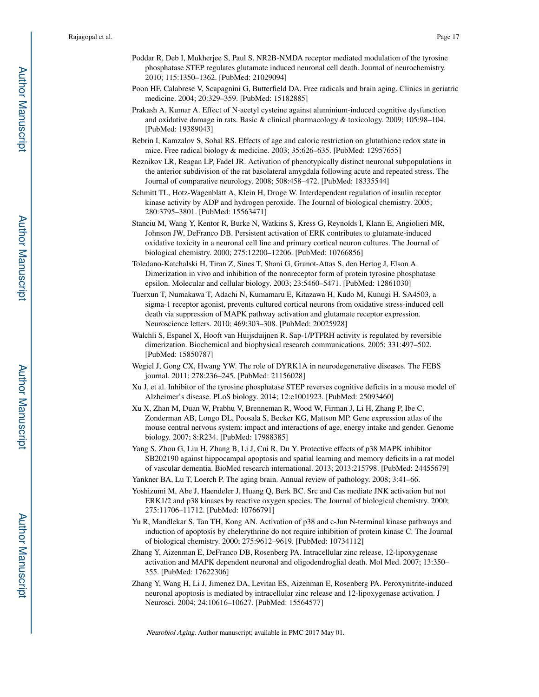- Poddar R, Deb I, Mukherjee S, Paul S. NR2B-NMDA receptor mediated modulation of the tyrosine phosphatase STEP regulates glutamate induced neuronal cell death. Journal of neurochemistry. 2010; 115:1350–1362. [PubMed: 21029094]
- Poon HF, Calabrese V, Scapagnini G, Butterfield DA. Free radicals and brain aging. Clinics in geriatric medicine. 2004; 20:329–359. [PubMed: 15182885]
- Prakash A, Kumar A. Effect of N-acetyl cysteine against aluminium-induced cognitive dysfunction and oxidative damage in rats. Basic & clinical pharmacology & toxicology. 2009; 105:98–104. [PubMed: 19389043]
- Rebrin I, Kamzalov S, Sohal RS. Effects of age and caloric restriction on glutathione redox state in mice. Free radical biology & medicine. 2003; 35:626–635. [PubMed: 12957655]
- Reznikov LR, Reagan LP, Fadel JR. Activation of phenotypically distinct neuronal subpopulations in the anterior subdivision of the rat basolateral amygdala following acute and repeated stress. The Journal of comparative neurology. 2008; 508:458–472. [PubMed: 18335544]
- Schmitt TL, Hotz-Wagenblatt A, Klein H, Droge W. Interdependent regulation of insulin receptor kinase activity by ADP and hydrogen peroxide. The Journal of biological chemistry. 2005; 280:3795–3801. [PubMed: 15563471]
- Stanciu M, Wang Y, Kentor R, Burke N, Watkins S, Kress G, Reynolds I, Klann E, Angiolieri MR, Johnson JW, DeFranco DB. Persistent activation of ERK contributes to glutamate-induced oxidative toxicity in a neuronal cell line and primary cortical neuron cultures. The Journal of biological chemistry. 2000; 275:12200–12206. [PubMed: 10766856]
- Toledano-Katchalski H, Tiran Z, Sines T, Shani G, Granot-Attas S, den Hertog J, Elson A. Dimerization in vivo and inhibition of the nonreceptor form of protein tyrosine phosphatase epsilon. Molecular and cellular biology. 2003; 23:5460–5471. [PubMed: 12861030]
- Tuerxun T, Numakawa T, Adachi N, Kumamaru E, Kitazawa H, Kudo M, Kunugi H. SA4503, a sigma-1 receptor agonist, prevents cultured cortical neurons from oxidative stress-induced cell death via suppression of MAPK pathway activation and glutamate receptor expression. Neuroscience letters. 2010; 469:303–308. [PubMed: 20025928]
- Walchli S, Espanel X, Hooft van Huijsduijnen R. Sap-1/PTPRH activity is regulated by reversible dimerization. Biochemical and biophysical research communications. 2005; 331:497–502. [PubMed: 15850787]
- Wegiel J, Gong CX, Hwang YW. The role of DYRK1A in neurodegenerative diseases. The FEBS journal. 2011; 278:236–245. [PubMed: 21156028]
- Xu J, et al. Inhibitor of the tyrosine phosphatase STEP reverses cognitive deficits in a mouse model of Alzheimer's disease. PLoS biology. 2014; 12:e1001923. [PubMed: 25093460]
- Xu X, Zhan M, Duan W, Prabhu V, Brenneman R, Wood W, Firman J, Li H, Zhang P, Ibe C, Zonderman AB, Longo DL, Poosala S, Becker KG, Mattson MP. Gene expression atlas of the mouse central nervous system: impact and interactions of age, energy intake and gender. Genome biology. 2007; 8:R234. [PubMed: 17988385]
- Yang S, Zhou G, Liu H, Zhang B, Li J, Cui R, Du Y. Protective effects of p38 MAPK inhibitor SB202190 against hippocampal apoptosis and spatial learning and memory deficits in a rat model of vascular dementia. BioMed research international. 2013; 2013:215798. [PubMed: 24455679]
- Yankner BA, Lu T, Loerch P. The aging brain. Annual review of pathology. 2008; 3:41–66.
- Yoshizumi M, Abe J, Haendeler J, Huang Q, Berk BC. Src and Cas mediate JNK activation but not ERK1/2 and p38 kinases by reactive oxygen species. The Journal of biological chemistry. 2000; 275:11706–11712. [PubMed: 10766791]
- Yu R, Mandlekar S, Tan TH, Kong AN. Activation of p38 and c-Jun N-terminal kinase pathways and induction of apoptosis by chelerythrine do not require inhibition of protein kinase C. The Journal of biological chemistry. 2000; 275:9612–9619. [PubMed: 10734112]
- Zhang Y, Aizenman E, DeFranco DB, Rosenberg PA. Intracellular zinc release, 12-lipoxygenase activation and MAPK dependent neuronal and oligodendroglial death. Mol Med. 2007; 13:350– 355. [PubMed: 17622306]
- Zhang Y, Wang H, Li J, Jimenez DA, Levitan ES, Aizenman E, Rosenberg PA. Peroxynitrite-induced neuronal apoptosis is mediated by intracellular zinc release and 12-lipoxygenase activation. J Neurosci. 2004; 24:10616–10627. [PubMed: 15564577]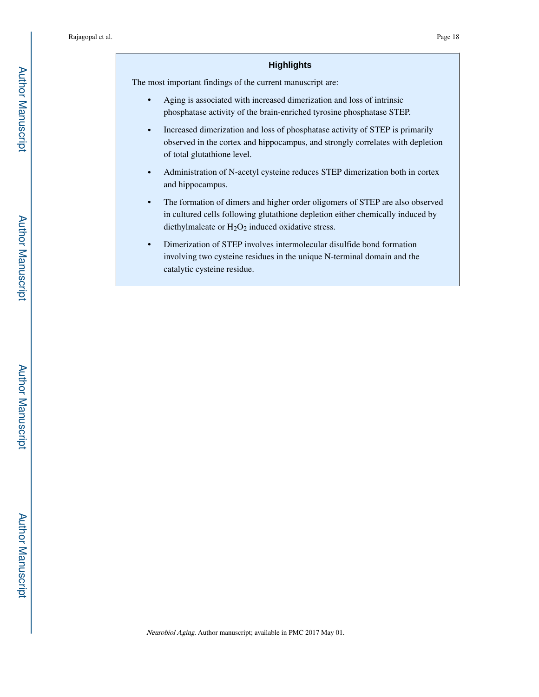#### **Highlights**

The most important findings of the current manuscript are:

- **•** Aging is associated with increased dimerization and loss of intrinsic phosphatase activity of the brain-enriched tyrosine phosphatase STEP.
- **•** Increased dimerization and loss of phosphatase activity of STEP is primarily observed in the cortex and hippocampus, and strongly correlates with depletion of total glutathione level.
- **•** Administration of N-acetyl cysteine reduces STEP dimerization both in cortex and hippocampus.
- **•** The formation of dimers and higher order oligomers of STEP are also observed in cultured cells following glutathione depletion either chemically induced by diethylmaleate or  $H_2O_2$  induced oxidative stress.
- **•** Dimerization of STEP involves intermolecular disulfide bond formation involving two cysteine residues in the unique N-terminal domain and the catalytic cysteine residue.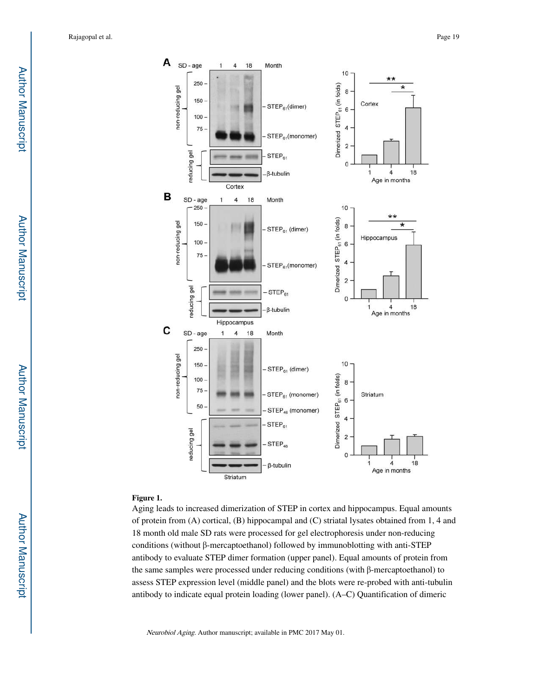

#### **Figure 1.**

Aging leads to increased dimerization of STEP in cortex and hippocampus. Equal amounts of protein from (A) cortical, (B) hippocampal and (C) striatal lysates obtained from 1, 4 and 18 month old male SD rats were processed for gel electrophoresis under non-reducing conditions (without β-mercaptoethanol) followed by immunoblotting with anti-STEP antibody to evaluate STEP dimer formation (upper panel). Equal amounts of protein from the same samples were processed under reducing conditions (with β-mercaptoethanol) to assess STEP expression level (middle panel) and the blots were re-probed with anti-tubulin antibody to indicate equal protein loading (lower panel). (A–C) Quantification of dimeric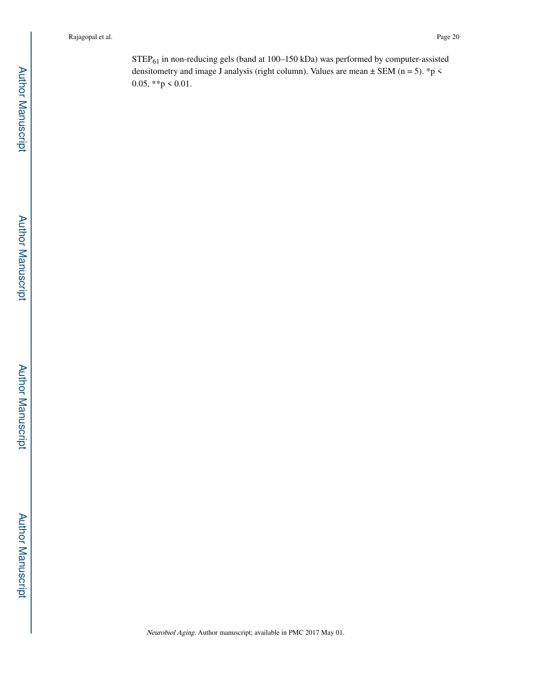STEP61 in non-reducing gels (band at 100–150 kDa) was performed by computer-assisted densitometry and image J analysis (right column). Values are mean  $\pm$  SEM (n = 5). \*p < 0.05, \*\*p < 0.01.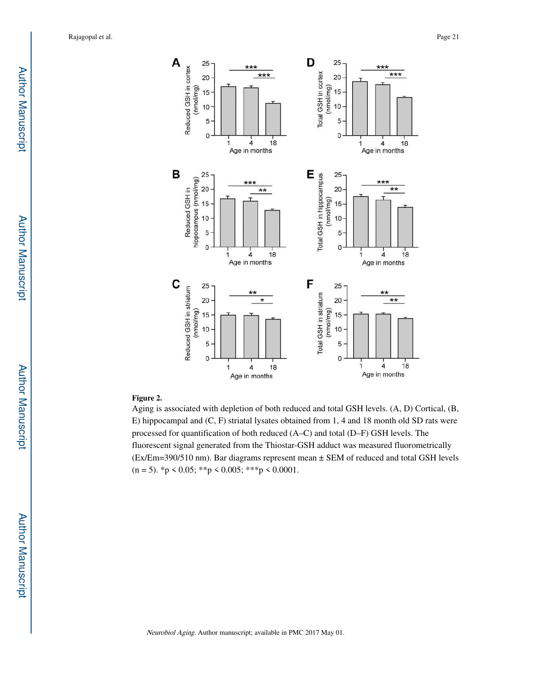

## **Figure 2.**

Aging is associated with depletion of both reduced and total GSH levels. (A, D) Cortical, (B, E) hippocampal and (C, F) striatal lysates obtained from 1, 4 and 18 month old SD rats were processed for quantification of both reduced (A–C) and total (D–F) GSH levels. The fluorescent signal generated from the Thiostar-GSH adduct was measured fluorometrically (Ex/Em=390/510 nm). Bar diagrams represent mean ± SEM of reduced and total GSH levels  $(n = 5)$ . \*p < 0.05; \*\*p < 0.005; \*\*\*p < 0.0001.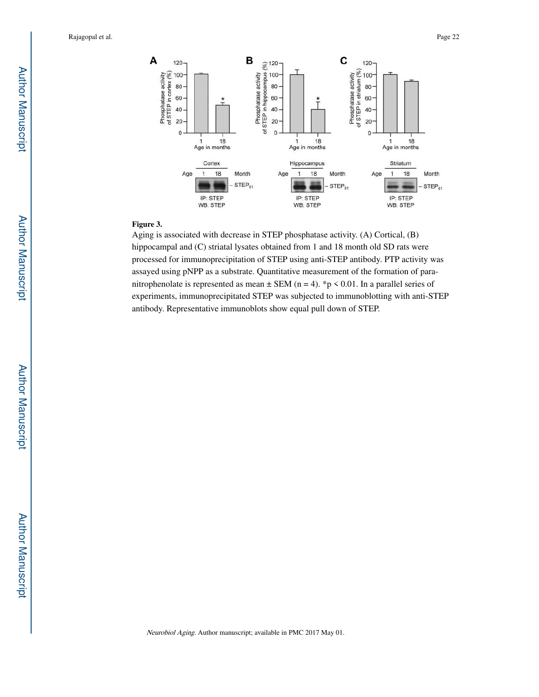

#### **Figure 3.**

Aging is associated with decrease in STEP phosphatase activity. (A) Cortical, (B) hippocampal and (C) striatal lysates obtained from 1 and 18 month old SD rats were processed for immunoprecipitation of STEP using anti-STEP antibody. PTP activity was assayed using pNPP as a substrate. Quantitative measurement of the formation of paranitrophenolate is represented as mean  $\pm$  SEM (n = 4). \*p < 0.01. In a parallel series of experiments, immunoprecipitated STEP was subjected to immunoblotting with anti-STEP antibody. Representative immunoblots show equal pull down of STEP.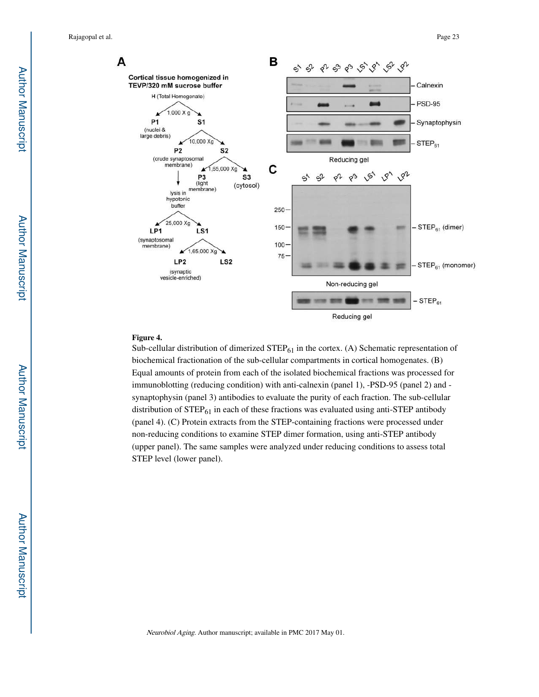Rajagopal et al. Page 23



#### **Figure 4.**

Sub-cellular distribution of dimerized  $\text{STEP}_{61}$  in the cortex. (A) Schematic representation of biochemical fractionation of the sub-cellular compartments in cortical homogenates. (B) Equal amounts of protein from each of the isolated biochemical fractions was processed for immunoblotting (reducing condition) with anti-calnexin (panel 1), -PSD-95 (panel 2) and synaptophysin (panel 3) antibodies to evaluate the purity of each fraction. The sub-cellular distribution of  $STEP_{61}$  in each of these fractions was evaluated using anti-STEP antibody (panel 4). (C) Protein extracts from the STEP-containing fractions were processed under non-reducing conditions to examine STEP dimer formation, using anti-STEP antibody (upper panel). The same samples were analyzed under reducing conditions to assess total STEP level (lower panel).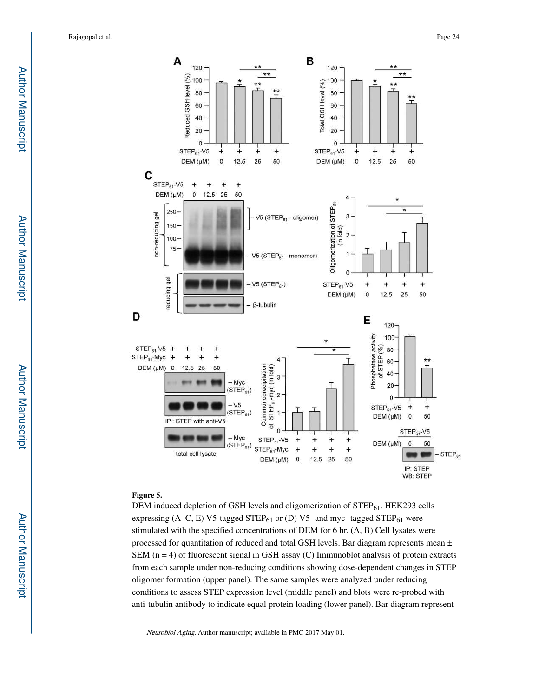

#### **Figure 5.**

DEM induced depletion of GSH levels and oligomerization of  $STEP_{61}$ . HEK293 cells expressing (A–C, E) V5-tagged STEP $_{61}$  or (D) V5- and myc- tagged STEP $_{61}$  were stimulated with the specified concentrations of DEM for 6 hr. (A, B) Cell lysates were processed for quantitation of reduced and total GSH levels. Bar diagram represents mean  $\pm$ SEM ( $n = 4$ ) of fluorescent signal in GSH assay (C) Immunoblot analysis of protein extracts from each sample under non-reducing conditions showing dose-dependent changes in STEP oligomer formation (upper panel). The same samples were analyzed under reducing conditions to assess STEP expression level (middle panel) and blots were re-probed with anti-tubulin antibody to indicate equal protein loading (lower panel). Bar diagram represent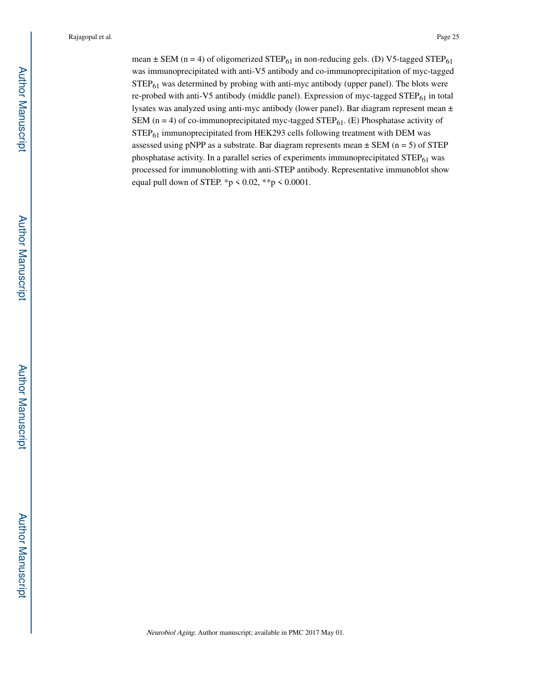mean  $\pm$  SEM (n = 4) of oligomerized STEP $_{61}$  in non-reducing gels. (D) V5-tagged STEP $_{61}$ was immunoprecipitated with anti-V5 antibody and co-immunoprecipitation of myc-tagged  $STEP<sub>61</sub>$  was determined by probing with anti-myc antibody (upper panel). The blots were re-probed with anti-V5 antibody (middle panel). Expression of myc-tagged STEP<sub>61</sub> in total lysates was analyzed using anti-myc antibody (lower panel). Bar diagram represent mean ± SEM ( $n = 4$ ) of co-immunoprecipitated myc-tagged STEP<sub>61</sub>. (E) Phosphatase activity of STEP61 immunoprecipitated from HEK293 cells following treatment with DEM was assessed using pNPP as a substrate. Bar diagram represents mean  $\pm$  SEM (n = 5) of STEP phosphatase activity. In a parallel series of experiments immunoprecipitated  $\text{STEP}_{61}$  was processed for immunoblotting with anti-STEP antibody. Representative immunoblot show equal pull down of STEP. \*p < 0.02, \*\*p < 0.0001.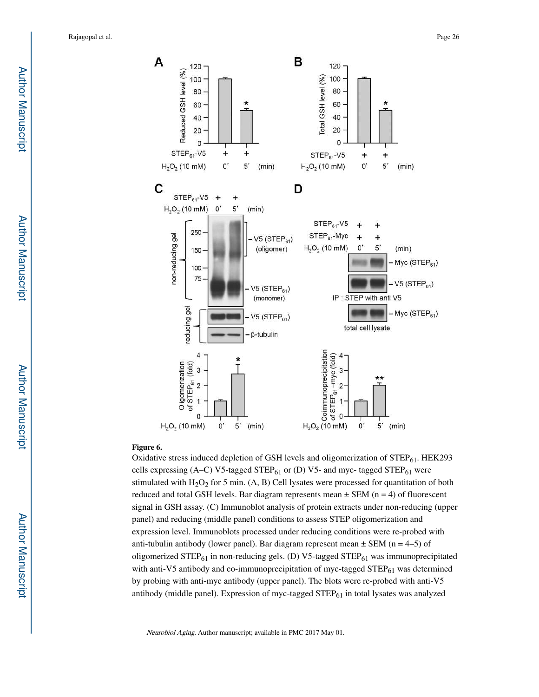

#### **Figure 6.**

Oxidative stress induced depletion of GSH levels and oligomerization of  $STEP_{61}$ . HEK293 cells expressing (A–C) V5-tagged STEP $_{61}$  or (D) V5- and myc- tagged STEP $_{61}$  were stimulated with  $H_2O_2$  for 5 min. (A, B) Cell lysates were processed for quantitation of both reduced and total GSH levels. Bar diagram represents mean  $\pm$  SEM (n = 4) of fluorescent signal in GSH assay. (C) Immunoblot analysis of protein extracts under non-reducing (upper panel) and reducing (middle panel) conditions to assess STEP oligomerization and expression level. Immunoblots processed under reducing conditions were re-probed with anti-tubulin antibody (lower panel). Bar diagram represent mean  $\pm$  SEM (n = 4–5) of oligomerized STEP<sub>61</sub> in non-reducing gels. (D) V5-tagged STEP<sub>61</sub> was immunoprecipitated with anti-V5 antibody and co-immunoprecipitation of myc-tagged  $STEP_{61}$  was determined by probing with anti-myc antibody (upper panel). The blots were re-probed with anti-V5 antibody (middle panel). Expression of myc-tagged  $\text{STEP}_{61}$  in total lysates was analyzed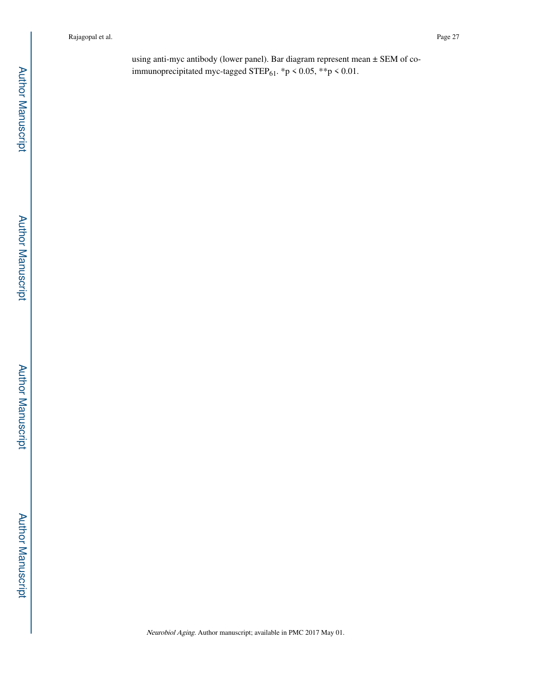using anti-myc antibody (lower panel). Bar diagram represent mean ± SEM of coimmunoprecipitated myc-tagged STEP $_{61}$ . \*p < 0.05, \*\*p < 0.01.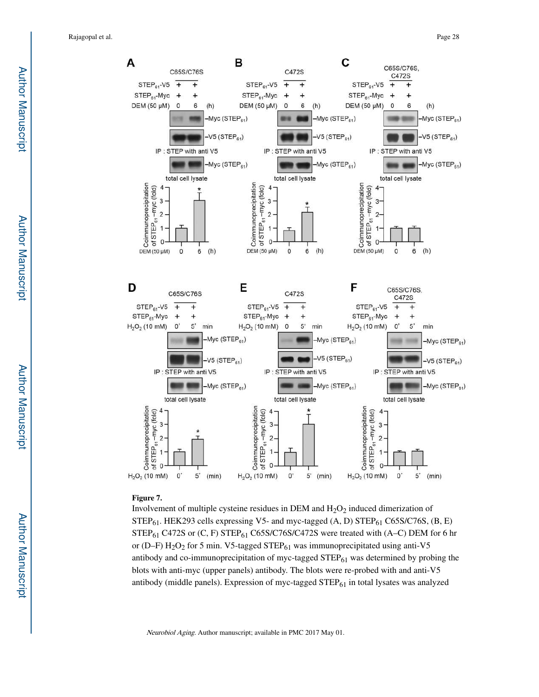

#### **Figure 7.**

Involvement of multiple cysteine residues in DEM and  $H_2O_2$  induced dimerization of  $STEP_{61}$ . HEK293 cells expressing V5- and myc-tagged (A, D)  $STEP_{61}$  C65S/C76S, (B, E) STEP<sub>61</sub> C472S or (C, F) STEP<sub>61</sub> C65S/C76S/C472S were treated with (A–C) DEM for 6 hr or (D–F)  $H_2O_2$  for 5 min. V5-tagged STEP $_{61}$  was immunoprecipitated using anti-V5 antibody and co-immunoprecipitation of myc-tagged  $\text{STEP}_{61}$  was determined by probing the blots with anti-myc (upper panels) antibody. The blots were re-probed with and anti-V5 antibody (middle panels). Expression of myc-tagged  $STEP_{61}$  in total lysates was analyzed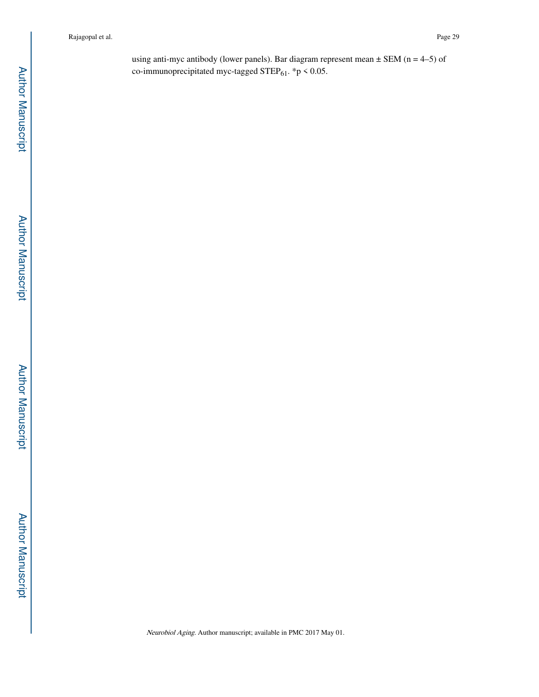using anti-myc antibody (lower panels). Bar diagram represent mean  $\pm$  SEM (n = 4–5) of co-immunoprecipitated myc-tagged STEP $_{61}$ . \*p < 0.05.